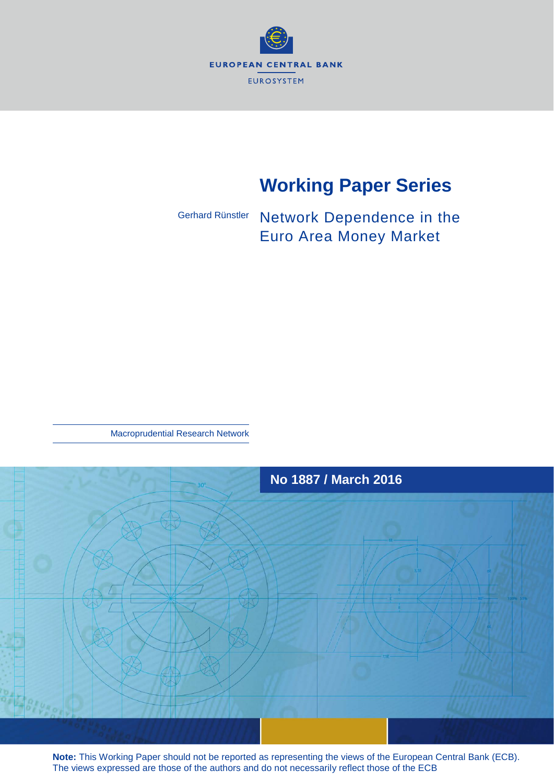

# **Working Paper Series**

Network Dependence in the Euro Area Money Market Gerhard Rünstler

Macroprudential Research Network



**Note:** This Working Paper should not be reported as representing the views of the European Central Bank (ECB). The views expressed are those of the authors and do not necessarily reflect those of the ECB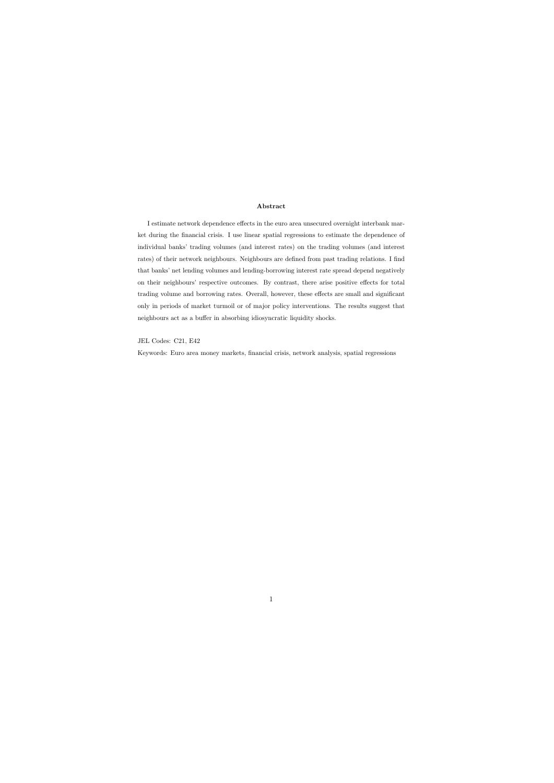#### Abstract

I estimate network dependence effects in the euro area unsecured overnight interbank market during the financial crisis. I use linear spatial regressions to estimate the dependence of individual banks' trading volumes (and interest rates) on the trading volumes (and interest rates) of their network neighbours. Neighbours are defined from past trading relations. I find that banks' net lending volumes and lending-borrowing interest rate spread depend negatively on their neighbours' respective outcomes. By contrast, there arise positive effects for total trading volume and borrowing rates. Overall, however, these effects are small and significant only in periods of market turmoil or of major policy interventions. The results suggest that neighbours act as a buffer in absorbing idiosyncratic liquidity shocks.

JEL Codes: C21, E42

Keywords: Euro area money markets, financial crisis, network analysis, spatial regressions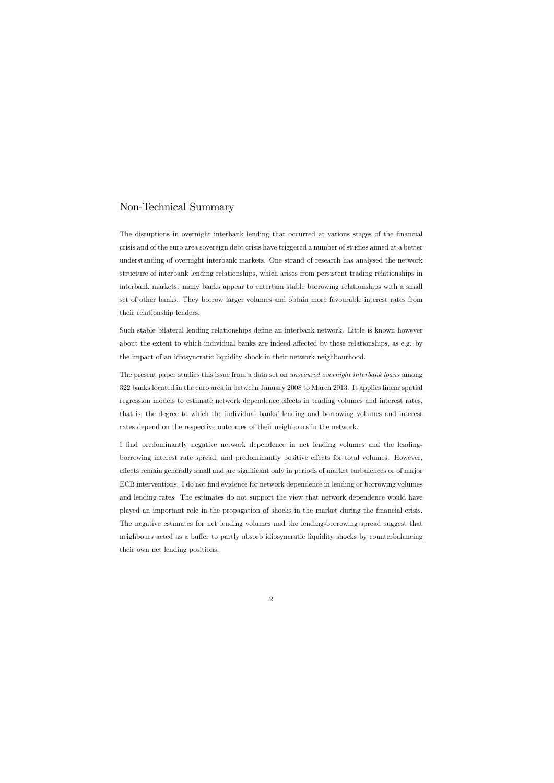# Non-Technical Summary

The disruptions in overnight interbank lending that occurred at various stages of the financial crisis and of the euro area sovereign debt crisis have triggered a number of studies aimed at a better understanding of overnight interbank markets. One strand of research has analysed the network structure of interbank lending relationships, which arises from persistent trading relationships in interbank markets: many banks appear to entertain stable borrowing relationships with a small set of other banks. They borrow larger volumes and obtain more favourable interest rates from their relationship lenders.

Such stable bilateral lending relationships define an interbank network. Little is known however about the extent to which individual banks are indeed affected by these relationships, as e.g. by the impact of an idiosyncratic liquidity shock in their network neighbourhood.

The present paper studies this issue from a data set on *unsecured overnight interbank loans* among 322 banks located in the euro area in between January 2008 to March 2013. It applies linear spatial regression models to estimate network dependence effects in trading volumes and interest rates, that is, the degree to which the individual banks' lending and borrowing volumes and interest rates depend on the respective outcomes of their neighbours in the network.

I find predominantly negative network dependence in net lending volumes and the lendingborrowing interest rate spread, and predominantly positive effects for total volumes. However, effects remain generally small and are significant only in periods of market turbulences or of major ECB interventions. I do not find evidence for network dependence in lending or borrowing volumes and lending rates. The estimates do not support the view that network dependence would have played an important role in the propagation of shocks in the market during the financial crisis. The negative estimates for net lending volumes and the lending-borrowing spread suggest that neighbours acted as a buffer to partly absorb idiosyncratic liquidity shocks by counterbalancing their own net lending positions.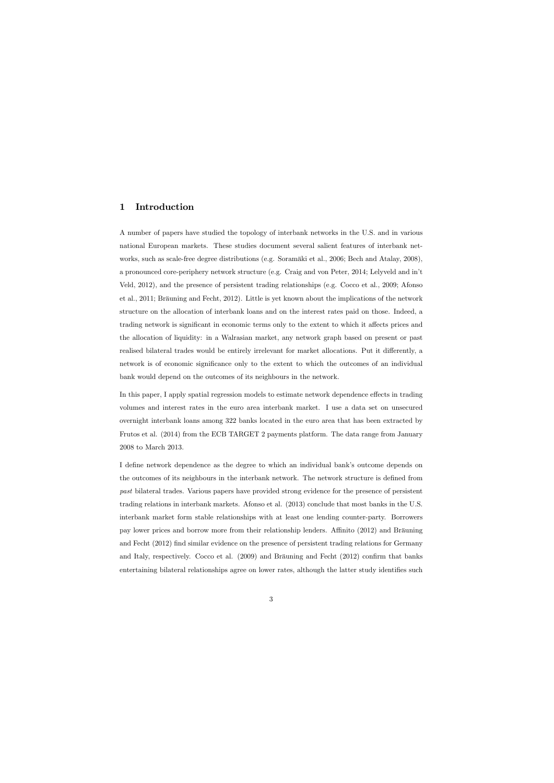# 1 Introduction

A number of papers have studied the topology of interbank networks in the U.S. and in various national European markets. These studies document several salient features of interbank networks, such as scale-free degree distributions (e.g. Soramäki et al., 2006; Bech and Atalay, 2008), a pronounced core-periphery network structure (e.g. Craig and von Peter, 2014; Lelyveld and inít Veld, 2012), and the presence of persistent trading relationships (e.g. Cocco et al., 2009; Afonso et al., 2011; Bräuning and Fecht, 2012). Little is yet known about the implications of the network structure on the allocation of interbank loans and on the interest rates paid on those. Indeed, a trading network is significant in economic terms only to the extent to which it affects prices and the allocation of liquidity: in a Walrasian market, any network graph based on present or past realised bilateral trades would be entirely irrelevant for market allocations. Put it differently, a network is of economic significance only to the extent to which the outcomes of an individual bank would depend on the outcomes of its neighbours in the network.

In this paper, I apply spatial regression models to estimate network dependence effects in trading volumes and interest rates in the euro area interbank market. I use a data set on unsecured overnight interbank loans among 322 banks located in the euro area that has been extracted by Frutos et al. (2014) from the ECB TARGET 2 payments platform. The data range from January 2008 to March 2013.

I define network dependence as the degree to which an individual bank's outcome depends on the outcomes of its neighbours in the interbank network. The network structure is defined from past bilateral trades. Various papers have provided strong evidence for the presence of persistent trading relations in interbank markets. Afonso et al. (2013) conclude that most banks in the U.S. interbank market form stable relationships with at least one lending counter-party. Borrowers pay lower prices and borrow more from their relationship lenders. Affinito (2012) and Bräuning and Fecht (2012) find similar evidence on the presence of persistent trading relations for Germany and Italy, respectively. Cocco et al.  $(2009)$  and Bräuning and Fecht  $(2012)$  confirm that banks entertaining bilateral relationships agree on lower rates, although the latter study identifies such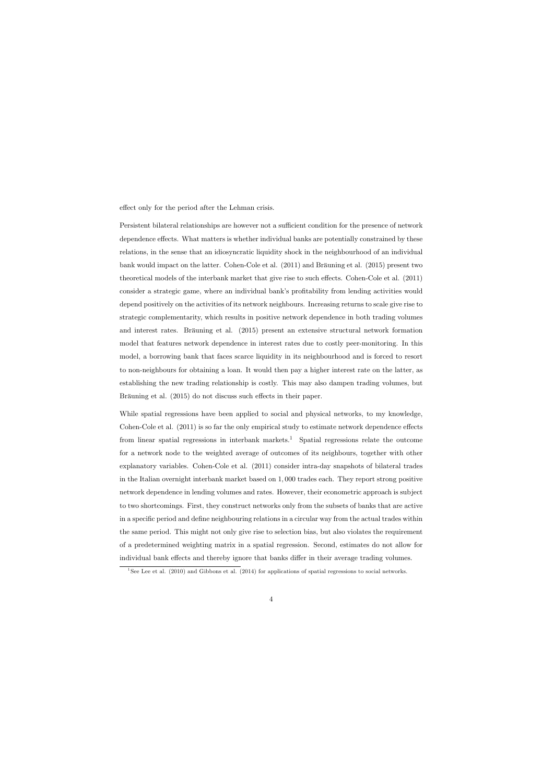effect only for the period after the Lehman crisis.

Persistent bilateral relationships are however not a sufficient condition for the presence of network dependence effects. What matters is whether individual banks are potentially constrained by these relations, in the sense that an idiosyncratic liquidity shock in the neighbourhood of an individual bank would impact on the latter. Cohen-Cole et al.  $(2011)$  and Bräuning et al.  $(2015)$  present two theoretical models of the interbank market that give rise to such effects. Cohen-Cole et al. (2011) consider a strategic game, where an individual bank's profitability from lending activities would depend positively on the activities of its network neighbours. Increasing returns to scale give rise to strategic complementarity, which results in positive network dependence in both trading volumes and interest rates. Bräuning et al. (2015) present an extensive structural network formation model that features network dependence in interest rates due to costly peer-monitoring. In this model, a borrowing bank that faces scarce liquidity in its neighbourhood and is forced to resort to non-neighbours for obtaining a loan. It would then pay a higher interest rate on the latter, as establishing the new trading relationship is costly. This may also dampen trading volumes, but Bräuning et al. (2015) do not discuss such effects in their paper.

While spatial regressions have been applied to social and physical networks, to my knowledge, Cohen-Cole et al.  $(2011)$  is so far the only empirical study to estimate network dependence effects from linear spatial regressions in interbank markets.<sup>1</sup> Spatial regressions relate the outcome for a network node to the weighted average of outcomes of its neighbours, together with other explanatory variables. Cohen-Cole et al. (2011) consider intra-day snapshots of bilateral trades in the Italian overnight interbank market based on 1; 000 trades each. They report strong positive network dependence in lending volumes and rates. However, their econometric approach is subject to two shortcomings. First, they construct networks only from the subsets of banks that are active in a specific period and define neighbouring relations in a circular way from the actual trades within the same period. This might not only give rise to selection bias, but also violates the requirement of a predetermined weighting matrix in a spatial regression. Second, estimates do not allow for individual bank effects and thereby ignore that banks differ in their average trading volumes.

<sup>&</sup>lt;sup>1</sup>See Lee et al. (2010) and Gibbons et al. (2014) for applications of spatial regressions to social networks.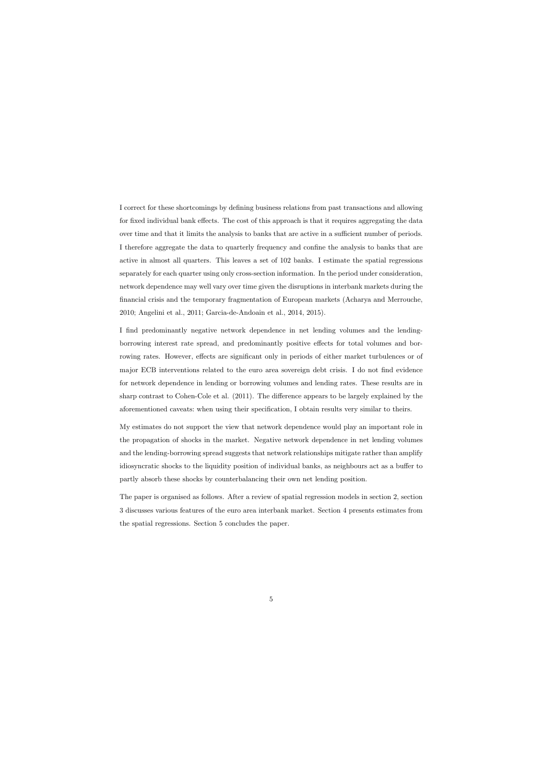I correct for these shortcomings by defining business relations from past transactions and allowing for fixed individual bank effects. The cost of this approach is that it requires aggregating the data over time and that it limits the analysis to banks that are active in a sufficient number of periods. I therefore aggregate the data to quarterly frequency and confine the analysis to banks that are active in almost all quarters. This leaves a set of 102 banks. I estimate the spatial regressions separately for each quarter using only cross-section information. In the period under consideration, network dependence may well vary over time given the disruptions in interbank markets during the Önancial crisis and the temporary fragmentation of European markets (Acharya and Merrouche, 2010; Angelini et al., 2011; Garcia-de-Andoain et al., 2014, 2015).

I Önd predominantly negative network dependence in net lending volumes and the lendingborrowing interest rate spread, and predominantly positive effects for total volumes and borrowing rates. However, effects are significant only in periods of either market turbulences or of major ECB interventions related to the euro area sovereign debt crisis. I do not find evidence for network dependence in lending or borrowing volumes and lending rates. These results are in sharp contrast to Cohen-Cole et al.  $(2011)$ . The difference appears to be largely explained by the aforementioned caveats: when using their specification, I obtain results very similar to theirs.

My estimates do not support the view that network dependence would play an important role in the propagation of shocks in the market. Negative network dependence in net lending volumes and the lending-borrowing spread suggests that network relationships mitigate rather than amplify idiosyncratic shocks to the liquidity position of individual banks, as neighbours act as a buffer to partly absorb these shocks by counterbalancing their own net lending position.

The paper is organised as follows. After a review of spatial regression models in section 2, section 3 discusses various features of the euro area interbank market. Section 4 presents estimates from the spatial regressions. Section 5 concludes the paper.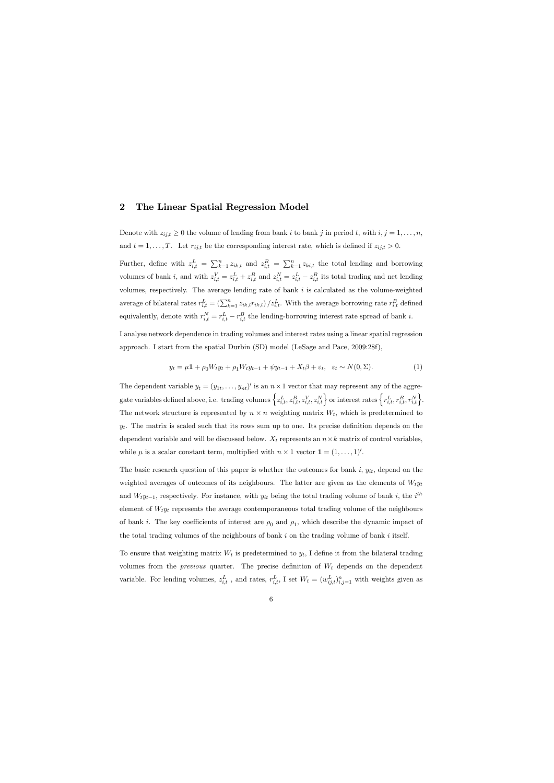# 2 The Linear Spatial Regression Model

Denote with  $z_{ij,t} \geq 0$  the volume of lending from bank i to bank j in period t, with  $i, j = 1, ..., n$ , and  $t = 1, \ldots, T$ . Let  $r_{ij,t}$  be the corresponding interest rate, which is defined if  $z_{ij,t} > 0$ .

Further, define with  $z_{i,t}^L = \sum_{k=1}^n z_{ik,t}$  and  $z_{i,t}^B = \sum_{k=1}^n z_{ki,t}$  the total lending and borrowing volumes of bank *i*, and with  $z_{i,t}^V = z_{i,t}^L + z_{i,t}^B$  and  $z_{i,t}^N = z_{i,t}^L - z_{i,t}^B$  its total trading and net lending volumes, respectively. The average lending rate of bank  $i$  is calculated as the volume-weighted average of bilateral rates  $r_{i,t}^L = \left(\sum_{k=1}^n z_{ik,t} r_{ik,t}\right) / z_{i,t}^L$ . With the average borrowing rate  $r_{i,t}^B$  defined equivalently, denote with  $r_{i,t}^N = r_{i,t}^L - r_{i,t}^B$  the lending-borrowing interest rate spread of bank *i*.

I analyse network dependence in trading volumes and interest rates using a linear spatial regression approach. I start from the spatial Durbin (SD) model (LeSage and Pace, 2009:28f),

$$
y_t = \mu \mathbf{1} + \rho_0 W_t y_t + \rho_1 W_t y_{t-1} + \psi y_{t-1} + X_t \beta + \varepsilon_t, \quad \varepsilon_t \sim N(0, \Sigma). \tag{1}
$$

The dependent variable  $y_t = (y_{1t}, \ldots, y_{nt})'$  is an  $n \times 1$  vector that may represent any of the aggregate variables defined above, i.e. trading volumes  $\left\{z_{i,t}^L, z_{i,t}^B, z_{i,t}^V, z_{i,t}^N\right\}$  or interest rates  $\left\{r_{i,t}^L, r_{i,t}^B, r_{i,t}^N\right\}$ . The network structure is represented by  $n \times n$  weighting matrix  $W_t$ , which is predetermined to  $y_t$ . The matrix is scaled such that its rows sum up to one. Its precise definition depends on the dependent variable and will be discussed below.  $X_t$  represents an  $n \times k$  matrix of control variables, while  $\mu$  is a scalar constant term, multiplied with  $n \times 1$  vector  $\mathbf{1} = (1, \ldots, 1)^{\prime}$ .

The basic research question of this paper is whether the outcomes for bank  $i, y_{it}$ , depend on the weighted averages of outcomes of its neighbours. The latter are given as the elements of  $W_t y_t$ and  $W_t y_{t-1}$ , respectively. For instance, with  $y_{it}$  being the total trading volume of bank i, the i<sup>th</sup> element of  $W_t y_t$  represents the average contemporaneous total trading volume of the neighbours of bank *i*. The key coefficients of interest are  $\rho_0$  and  $\rho_1$ , which describe the dynamic impact of the total trading volumes of the neighbours of bank  $i$  on the trading volume of bank  $i$  itself.

To ensure that weighting matrix  $W_t$  is predetermined to  $y_t$ , I define it from the bilateral trading volumes from the *previous* quarter. The precise definition of  $W_t$  depends on the dependent variable. For lending volumes,  $z_{i,t}^L$ , and rates,  $r_{i,t}^L$ , I set  $W_t = (w_{ij,t}^L)_{i,j=1}^n$  with weights given as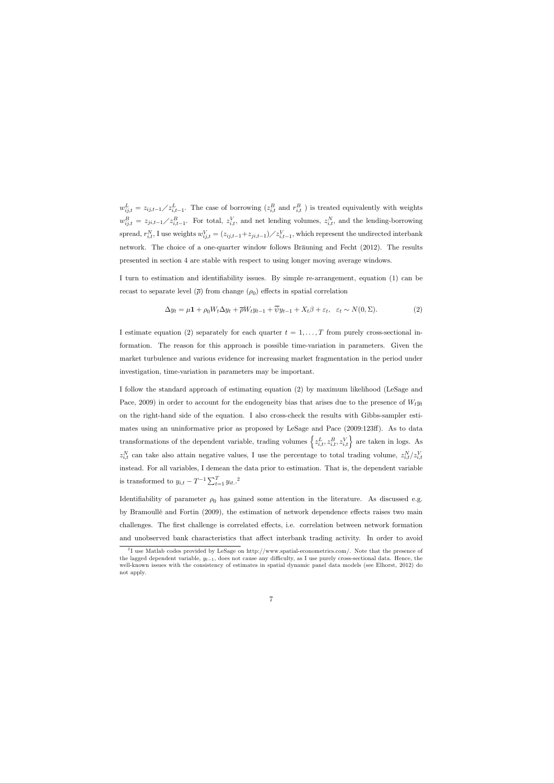$w_{ij,t}^L = z_{ij,t-1} z_{i,t-1}^L$ . The case of borrowing  $(z_{i,t}^B$  and  $r_{i,t}^B$  ) is treated equivalently with weights  $w_{ij,t}^B = z_{ji,t-1} / z_{i,t-1}^B$ . For total,  $z_{i,t}^V$ , and net lending volumes,  $z_{i,t}^N$ , and the lending-borrowing spread,  $r_{i,t}^N$ , I use weights  $w_{ij,t}^V = (z_{ij,t-1}+z_{ji,t-1})\diagup z_{i,t-1}^V$ , which represent the undirected interbank network. The choice of a one-quarter window follows Bräuning and Fecht (2012). The results presented in section 4 are stable with respect to using longer moving average windows.

I turn to estimation and identifiability issues. By simple re-arrangement, equation (1) can be recast to separate level  $(\bar{\rho})$  from change  $(\rho_0)$  effects in spatial correlation

$$
\Delta y_t = \mu \mathbf{1} + \rho_0 W_t \Delta y_t + \overline{\rho} W_t y_{t-1} + \overline{\psi} y_{t-1} + X_t \beta + \varepsilon_t, \quad \varepsilon_t \sim N(0, \Sigma). \tag{2}
$$

I estimate equation (2) separately for each quarter  $t = 1, \ldots, T$  from purely cross-sectional information. The reason for this approach is possible time-variation in parameters. Given the market turbulence and various evidence for increasing market fragmentation in the period under investigation, time-variation in parameters may be important.

I follow the standard approach of estimating equation (2) by maximum likelihood (LeSage and Pace, 2009) in order to account for the endogeneity bias that arises due to the presence of  $W_t y_t$ on the right-hand side of the equation. I also cross-check the results with Gibbs-sampler estimates using an uninformative prior as proposed by LeSage and Pace (2009:123ff). As to data transformations of the dependent variable, trading volumes  $\left\{z_{i,t}^L, z_{i,t}^B, z_{i,t}^V\right\}$  are taken in logs. As  $z_{i,t}^N$  can take also attain negative values, I use the percentage to total trading volume,  $z_{i,t}^N/z_{i,t}^V$ instead. For all variables, I demean the data prior to estimation. That is, the dependent variable is transformed to  $y_{i,t} - T^{-1} \sum_{t=1}^{T} y_{it}.^2$ 

Identifiability of parameter  $\rho_0$  has gained some attention in the literature. As discussed e.g. by Bramoullé and Fortin (2009), the estimation of network dependence effects raises two main challenges. The first challenge is correlated effects, i.e. correlation between network formation and unobserved bank characteristics that affect interbank trading activity. In order to avoid

<sup>&</sup>lt;sup>2</sup>I use Matlab codes provided by LeSage on http://www.spatial-econometrics.com/. Note that the presence of the lagged dependent variable,  $y_{t-1}$ , does not cause any difficulty, as I use purely cross-sectional data. Hence, the well-known issues with the consistency of estimates in spatial dynamic panel data models (see Elhorst, 2012) do not apply.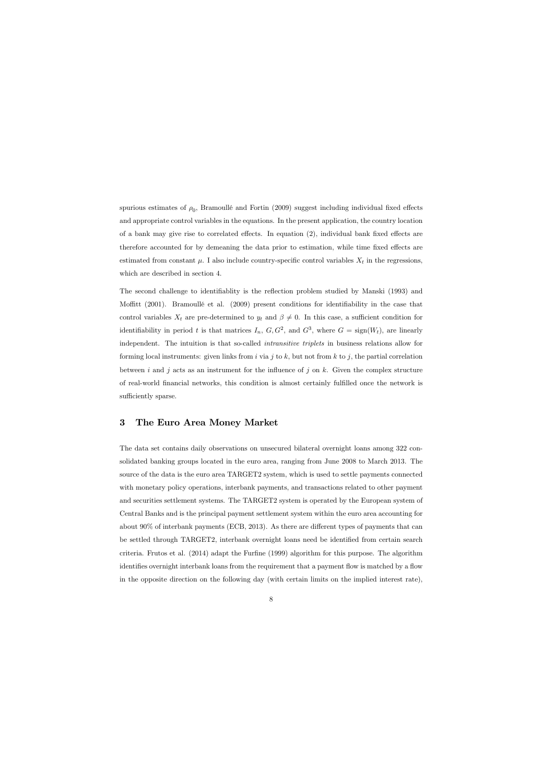spurious estimates of  $\rho_0$ , Bramoullé and Fortin (2009) suggest including individual fixed effects and appropriate control variables in the equations. In the present application, the country location of a bank may give rise to correlated effects. In equation  $(2)$ , individual bank fixed effects are therefore accounted for by demeaning the data prior to estimation, while time fixed effects are estimated from constant  $\mu$ . I also include country-specific control variables  $X_t$  in the regressions, which are described in section 4.

The second challenge to identifiablity is the reflection problem studied by Manski (1993) and Moffitt  $(2001)$ . Bramoullé et al.  $(2009)$  present conditions for identifiability in the case that control variables  $X_t$  are pre-determined to  $y_t$  and  $\beta \neq 0$ . In this case, a sufficient condition for identifiability in period t is that matrices  $I_n$ ,  $G$ ,  $G^2$ , and  $G^3$ , where  $G = \text{sign}(W_t)$ , are linearly independent. The intuition is that so-called intransitive triplets in business relations allow for forming local instruments: given links from i via j to k, but not from k to j, the partial correlation between i and j acts as an instrument for the influence of j on k. Given the complex structure of real-world financial networks, this condition is almost certainly fulfilled once the network is sufficiently sparse.

# 3 The Euro Area Money Market

The data set contains daily observations on unsecured bilateral overnight loans among 322 consolidated banking groups located in the euro area, ranging from June 2008 to March 2013. The source of the data is the euro area TARGET2 system, which is used to settle payments connected with monetary policy operations, interbank payments, and transactions related to other payment and securities settlement systems. The TARGET2 system is operated by the European system of Central Banks and is the principal payment settlement system within the euro area accounting for about  $90\%$  of interbank payments (ECB, 2013). As there are different types of payments that can be settled through TARGET2, interbank overnight loans need be identified from certain search criteria. Frutos et al.  $(2014)$  adapt the Furfine  $(1999)$  algorithm for this purpose. The algorithm identifies overnight interbank loans from the requirement that a payment flow is matched by a flow in the opposite direction on the following day (with certain limits on the implied interest rate),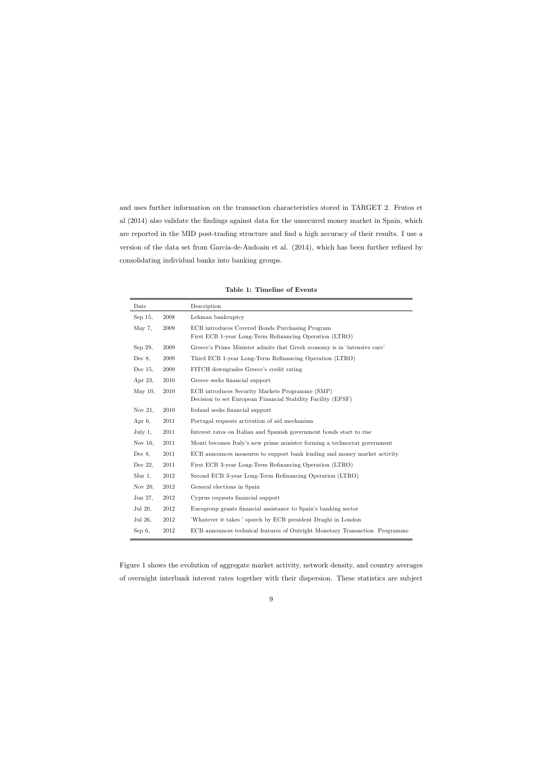and uses further information on the transaction characteristics stored in TARGET 2. Frutos et al (2014) also validate the findings against data for the unsecured money market in Spain, which are reported in the MID post-trading structure and find a high accuracy of their results. I use a version of the data set from Garcia-de-Andoain et al. (2014), which has been further refined by consolidating individual banks into banking groups.

| Date       |      | Description                                                                                                     |
|------------|------|-----------------------------------------------------------------------------------------------------------------|
| Sep 15,    | 2008 | Lehman bankruptcy                                                                                               |
| May 7,     | 2009 | ECB introduces Covered Bonds Purchasing Program<br>First ECB 1-year Long-Term Refinancing Operation (LTRO)      |
| Sep 29,    | 2009 | Greece's Prime Minister admits that Greek economy is in 'intensive care'                                        |
| Dec $8$ ,  | 2009 | Third ECB 1-year Long-Term Refinancing Operation (LTRO)                                                         |
| Dec $15$ , | 2009 | FITCH downgrades Greece's credit rating                                                                         |
| Apr 23,    | 2010 | Greece seeks financial support                                                                                  |
| May $10$ , | 2010 | ECB introduces Security Markets Programme (SMP)<br>Decision to set European Financial Stability Facility (EFSF) |
| Nov 21,    | 2010 | Ireland seeks financial support                                                                                 |
| Apr 6,     | 2011 | Portugal requests activation of aid mechanism                                                                   |
| July $1$ , | 2011 | Interest rates on Italian and Spanish government bonds start to rise                                            |
| Nov 16,    | 2011 | Monti becomes Italy's new prime minister forming a technocrat government                                        |
| Dec $8$ ,  | 2011 | ECB announces measures to support bank lending and money market activity                                        |
| Dec 22,    | 2011 | First ECB 3-year Long-Term Refinancing Operation (LTRO)                                                         |
| Mar 1,     | 2012 | Second ECB 3-year Long-Term Refinancing Operation (LTRO)                                                        |
| Nov 20,    | 2012 | General elections in Spain                                                                                      |
| Jun 27,    | 2012 | Cyprus requests financial support                                                                               |
| Jul 20,    | 2012 | Eurogroup grants financial assistance to Spain's banking sector                                                 |
| Jul 26,    | 2012 | Whatever it takes ' speech by ECB president Draghi in London                                                    |
| $Sep 6$ ,  | 2012 | ECB announces technical features of Outright Monetary Transaction Programme                                     |

Table 1: Timeline of Events

Figure 1 shows the evolution of aggregate market activity, network density, and country averages of overnight interbank interest rates together with their dispersion. These statistics are subject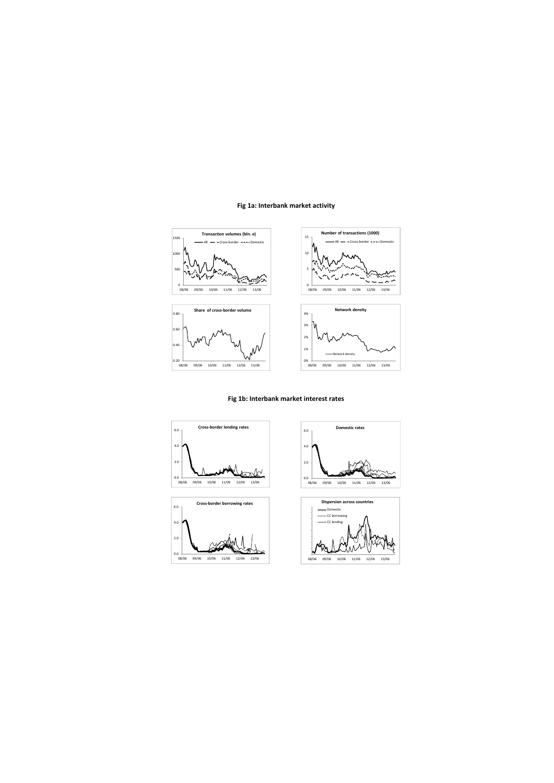## **Fig 1a: Interbank market activity**







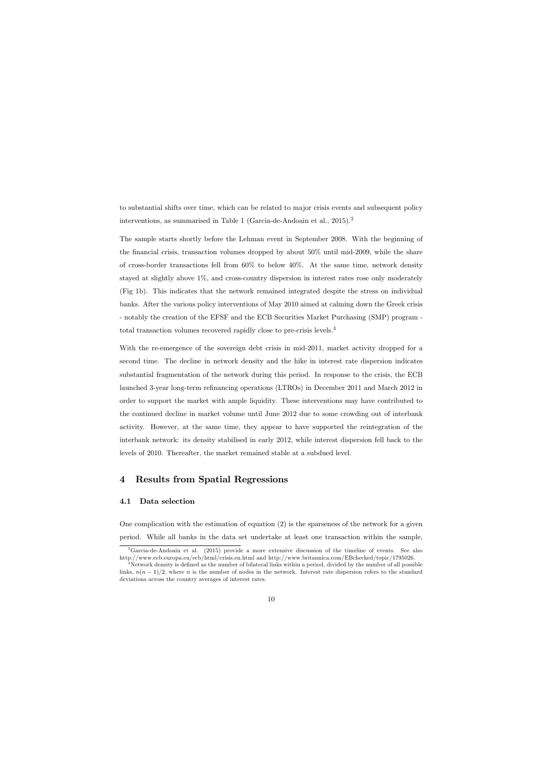to substantial shifts over time, which can be related to major crisis events and subsequent policy interventions, as summarised in Table 1 (Garcia-de-Andoain et al., 2015).<sup>3</sup>

The sample starts shortly before the Lehman event in September 2008. With the beginning of the financial crisis, transaction volumes dropped by about  $50\%$  until mid-2009, while the share of cross-border transactions fell from 60% to below 40%. At the same time, network density stayed at slightly above 1%, and cross-country dispersion in interest rates rose only moderately (Fig 1b). This indicates that the network remained integrated despite the stress on individual banks. After the various policy interventions of May 2010 aimed at calming down the Greek crisis - notably the creation of the EFSF and the ECB Securities Market Purchasing (SMP) program total transaction volumes recovered rapidly close to pre-crisis levels.<sup>4</sup>

With the re-emergence of the sovereign debt crisis in mid-2011, market activity dropped for a second time. The decline in network density and the hike in interest rate dispersion indicates substantial fragmentation of the network during this period. In response to the crisis, the ECB launched 3-year long-term refinancing operations (LTROs) in December 2011 and March 2012 in order to support the market with ample liquidity. These interventions may have contributed to the continued decline in market volume until June 2012 due to some crowding out of interbank activity. However, at the same time, they appear to have supported the reintegration of the interbank network: its density stabilised in early 2012, while interest dispersion fell back to the levels of 2010. Thereafter, the market remained stable at a subdued level.

## 4 Results from Spatial Regressions

## 4.1 Data selection

One complication with the estimation of equation (2) is the sparseness of the network for a given period. While all banks in the data set undertake at least one transaction within the sample,

<sup>3</sup>Garcia-de-Andoain et al. (2015) provide a more extensive discussion of the timeline of events. See also http://www.ecb.europa.eu/ecb/html/crisis.en.html and http://www.britannica.com/EBchecked/topic/1795026.

Network density is defined as the number of bilateral links within a period, divided by the number of all possible links,  $n(n-1)/2$ , where n is the number of nodes in the network. Interest rate dispersion refers to the standard deviations across the country averages of interest rates.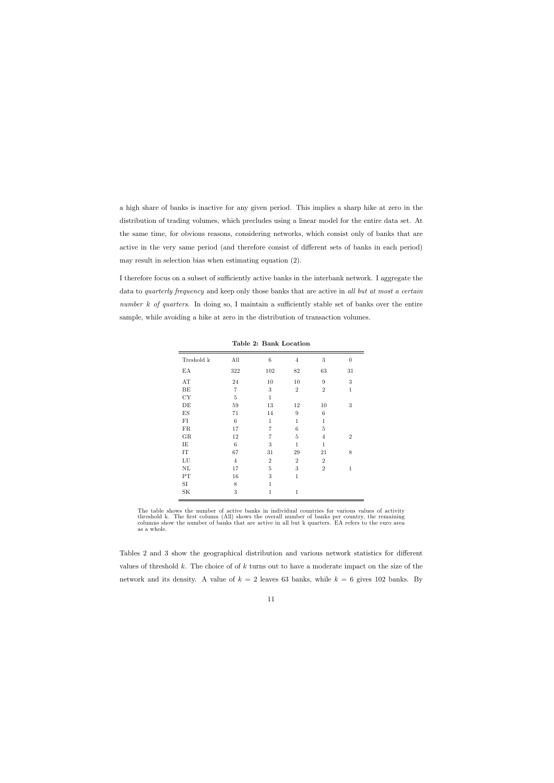a high share of banks is inactive for any given period. This implies a sharp hike at zero in the distribution of trading volumes, which precludes using a linear model for the entire data set. At the same time, for obvious reasons, considering networks, which consist only of banks that are active in the very same period (and therefore consist of different sets of banks in each period) may result in selection bias when estimating equation (2).

I therefore focus on a subset of sufficiently active banks in the interbank network. I aggregate the data to *quarterly frequency* and keep only those banks that are active in all but at most a certain number k of quarters. In doing so, I maintain a sufficiently stable set of banks over the entire sample, while avoiding a hike at zero in the distribution of transaction volumes.

| Treshold k | All            | 6              | $\,4\,$         | $\sqrt{3}$       | $\boldsymbol{0}$ |
|------------|----------------|----------------|-----------------|------------------|------------------|
| ΕA         | 322            | 102            | 82              | 63               | 31               |
| AT         | 24             | 10             | 10              | $9\phantom{.0}$  | $\sqrt{3}$       |
| $\rm BE$   | $\overline{7}$ | $\,3$          | $\,2$           | $\boldsymbol{2}$ | $\mathbf 1$      |
| ${\rm CY}$ | $\overline{5}$ | $\mathbf{1}$   |                 |                  |                  |
| DE         | 59             | 13             | 12              | 10               | 3                |
| ${\rm ES}$ | 71             | 14             | $9\phantom{.0}$ | $\,6$            |                  |
| FI         | 6              | $\mathbf{1}$   | 1               | $\mathbf{1}$     |                  |
| FR         | 17             | $\overline{7}$ | 6               | 5                |                  |
| ${\rm GR}$ | 12             | $\overline{7}$ | $\overline{5}$  | $\overline{4}$   | $\overline{2}$   |
| IE         | 6              | $\sqrt{3}$     | $\mathbf{1}$    | $\mathbf{1}$     |                  |
| IT         | 67             | 31             | 29              | 21               | 8                |
| ${\rm LU}$ | $\overline{4}$ | $\overline{2}$ | $\overline{2}$  | $\overline{2}$   |                  |
| $\rm NL$   | 17             | 5              | 3               | $\overline{2}$   | 1                |
| PT         | 16             | 3              | $\mathbf{1}$    |                  |                  |
| SI         | 8              | 1              |                 |                  |                  |
| SΚ         | 3              | $\mathbf{1}$   | $\mathbf{1}$    |                  |                  |

Table 2: Bank Location

The table shows the number of active banks in individual countries for various values of activity threshold k. The first column (All) shows the overall number of banks per country, the remaining columns show the number of banks that are active in all but k quarters. EA refers to the euro area as a whole.

Tables 2 and 3 show the geographical distribution and various network statistics for different values of threshold k. The choice of of k turns out to have a moderate impact on the size of the network and its density. A value of  $k = 2$  leaves 63 banks, while  $k = 6$  gives 102 banks. By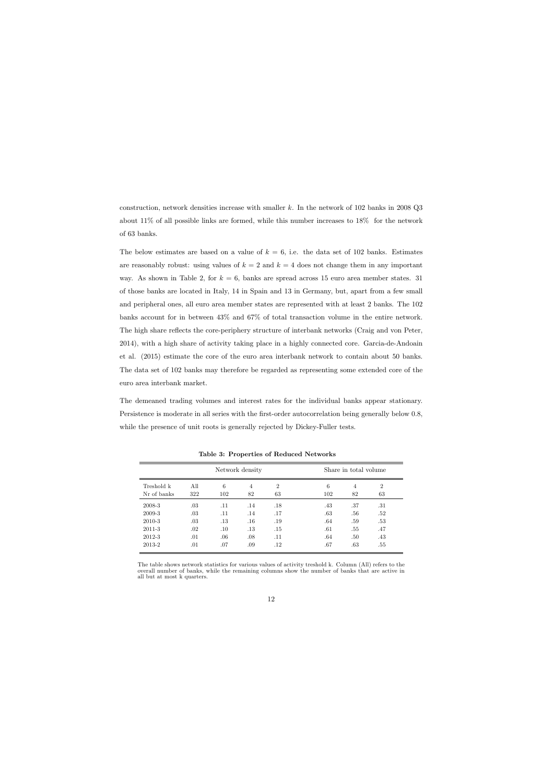construction, network densities increase with smaller k. In the network of  $102$  banks in  $2008$  Q3 about 11% of all possible links are formed, while this number increases to 18% for the network of 63 banks.

The below estimates are based on a value of  $k = 6$ , i.e. the data set of 102 banks. Estimates are reasonably robust: using values of  $k = 2$  and  $k = 4$  does not change them in any important way. As shown in Table 2, for  $k = 6$ , banks are spread across 15 euro area member states. 31 of those banks are located in Italy, 14 in Spain and 13 in Germany, but, apart from a few small and peripheral ones, all euro area member states are represented with at least 2 banks. The 102 banks account for in between 43% and 67% of total transaction volume in the entire network. The high share reflects the core-periphery structure of interbank networks (Craig and von Peter, 2014), with a high share of activity taking place in a highly connected core. Garcia-de-Andoain et al. (2015) estimate the core of the euro area interbank network to contain about 50 banks. The data set of 102 banks may therefore be regarded as representing some extended core of the euro area interbank market.

The demeaned trading volumes and interest rates for the individual banks appear stationary. Persistence is moderate in all series with the first-order autocorrelation being generally below 0.8, while the presence of unit roots is generally rejected by Dickey-Fuller tests.

|             |         |     | Network density |                |     | Share in total volume |                |
|-------------|---------|-----|-----------------|----------------|-----|-----------------------|----------------|
| Treshold k  | All     | 6   | $\overline{4}$  | $\overline{2}$ | 6   | 4                     | $\overline{2}$ |
| Nr of banks | 322     | 102 | 82              | 63             | 102 | 82                    | 63             |
| 2008-3      | .03     | .11 | .14             | .18            | .43 | .37                   | .31            |
| 2009-3      | .03     | .11 | .14             | .17            | .63 | .56                   | .52            |
| 2010-3      | .03     | .13 | .16             | .19            | .64 | .59                   | .53            |
| 2011-3      | $.02\,$ | .10 | $.13\,$         | .15            | .61 | .55                   | .47            |
| 2012-3      | .01     | .06 | .08             | .11            | .64 | .50                   | .43            |
| 2013-2      | .01     | .07 | .09             | $.12\,$        | .67 | .63                   | .55            |

Table 3: Properties of Reduced Networks

The table shows network statistics for various values of activity treshold k. Column (All) refers to the overall number of banks, while the remaining columns show the number of banks that are active in all but at most k quarters.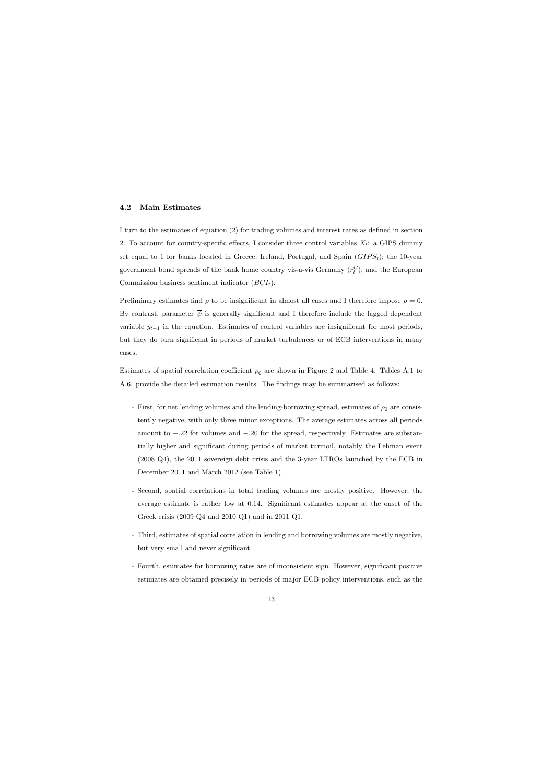#### 4.2 Main Estimates

I turn to the estimates of equation (2) for trading volumes and interest rates as defined in section 2. To account for country-specific effects, I consider three control variables  $X_t$ : a GIPS dummy set equal to 1 for banks located in Greece, Ireland, Portugal, and Spain  $(GIPS<sub>t</sub>)$ ; the 10-year government bond spreads of the bank home country vis-a-vis Germany  $(r_t^G)$ ; and the European Commission business sentiment indicator  $(BCI_t)$ .

Preliminary estimates find  $\bar{\rho}$  to be insignificant in almost all cases and I therefore impose  $\bar{\rho} = 0$ . By contrast, parameter  $\overline{\psi}$  is generally significant and I therefore include the lagged dependent variable  $y_{t-1}$  in the equation. Estimates of control variables are insignificant for most periods, but they do turn significant in periods of market turbulences or of ECB interventions in many cases.

Estimates of spatial correlation coefficient  $\rho_0$  are shown in Figure 2 and Table 4. Tables A.1 to A.6. provide the detailed estimation results. The findings may be summarised as follows:

- First, for net lending volumes and the lending-borrowing spread, estimates of  $\rho_0$  are consistently negative, with only three minor exceptions. The average estimates across all periods amount to  $-.22$  for volumes and  $-.20$  for the spread, respectively. Estimates are substantially higher and significant during periods of market turmoil, notably the Lehman event (2008 Q4), the 2011 sovereign debt crisis and the 3-year LTROs launched by the ECB in December 2011 and March 2012 (see Table 1).
- Second, spatial correlations in total trading volumes are mostly positive. However, the average estimate is rather low at 0.14. Significant estimates appear at the onset of the Greek crisis (2009 Q4 and 2010 Q1) and in 2011 Q1.
- Third, estimates of spatial correlation in lending and borrowing volumes are mostly negative, but very small and never significant.
- Fourth, estimates for borrowing rates are of inconsistent sign. However, significant positive estimates are obtained precisely in periods of major ECB policy interventions, such as the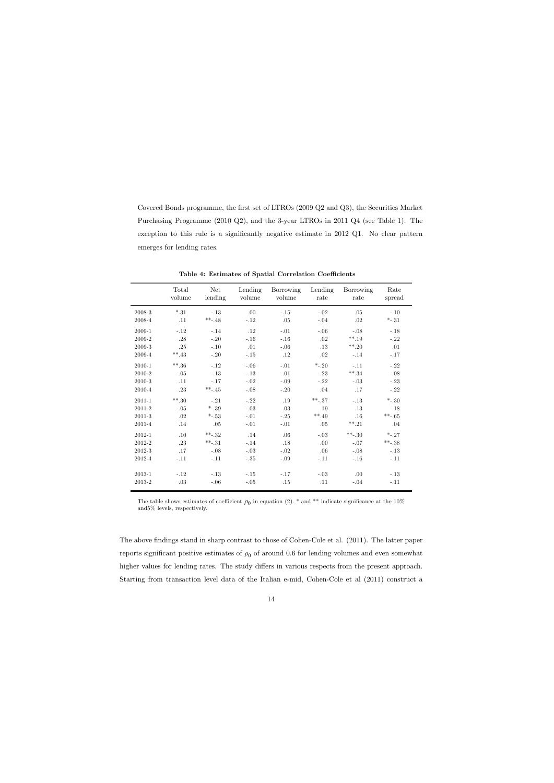Covered Bonds programme, the first set of LTROs (2009 Q2 and Q3), the Securities Market Purchasing Programme (2010 Q2), and the 3-year LTROs in 2011 Q4 (see Table 1). The exception to this rule is a significantly negative estimate in 2012  $Q1$ . No clear pattern emerges for lending rates.

|            | Total<br>volume | <b>Net</b><br>lending | Lending<br>volume | Borrowing<br>volume | Lending<br>rate | Borrowing<br>rate | Rate<br>spread |
|------------|-----------------|-----------------------|-------------------|---------------------|-----------------|-------------------|----------------|
| 2008-3     | $*.31$          | $-.13$                | .00.              | $-.15$              | $-.02$          | .05               | $-.10$         |
| 2008-4     | .11             | $***-48$              | $-.12$            | .05                 | $-.04$          | .02               | $*_{-.31}$     |
| 2009-1     | $-.12$          | $-.14$                | .12               | $-.01$              | $-.06$          | $-.08$            | $-.18$         |
| 2009-2     | .28             | $-.20$                | $-.16$            | $-.16$              | .02             | $***.19$          | $-.22$         |
| 2009-3     | .25             | $-.10$                | .01               | $-.06$              | .13             | $***,20$          | .01            |
| 2009-4     | $***.43$        | $-.20$                | $-.15$            | .12                 | .02             | $-.14$            | $-.17$         |
| 2010-1     | $***.36$        | $-.12$                | $-.06$            | $-.01$              | $*_{-.20}$      | $-.11$            | $-.22$         |
| 2010-2     | .05             | $-.13$                | $-.13$            | .01                 | .23             | $***.34$          | $-.08$         |
| 2010-3     | .11             | $-.17$                | $-.02$            | $-.09$              | $-.22$          | $-.03$            | $-.23$         |
| 2010-4     | .23             | $***-45$              | $-.08$            | $-.20$              | .04             | .17               | $-.22$         |
| $2011 - 1$ | $***,30$        | $-.21$                | $-.22$            | .19                 | $***-37$        | $-.13$            | $*_{-.30}$     |
| 2011-2     | $-.05$          | $*_{-.39}$            | $-.03$            | .03                 | .19             | .13               | $-.18$         |
| 2011-3     | .02             | $-.53$                | $-.01$            | $-.25$              | $***.49$        | .16               | $***-65$       |
| 2011-4     | .14             | .05                   | $-.01$            | $-.01$              | .05             | $***.21$          | .04            |
| 2012-1     | .10             | $***-32$              | .14               | .06                 | $-.03$          | $***-30$          | $*_{-.27}$     |
| 2012-2     | .23             | $***-31$              | $-.14$            | .18                 | .00             | $-.07$            | $***-38$       |
| 2012-3     | .17             | $-.08$                | $-.03$            | $-.02$              | .06             | $-.08$            | $-.13$         |
| 2012-4     | $-.11$          | $-.11$                | $-.35$            | $-.09$              | $-.11$          | $-.16$            | $-.11$         |
| 2013-1     | $-.12$          | $-.13$                | $-.15$            | $-.17$              | $-.03$          | .00               | $-.13$         |
| 2013-2     | .03             | $-.06$                | $-.05$            | .15                 | .11             | $-.04$            | $-.11$         |

Table 4: Estimates of Spatial Correlation Coefficients

The table shows estimates of coefficient  $\rho_0$  in equation (2). \* and \*\* indicate significance at the 10% and5% levels, respectively.

The above findings stand in sharp contrast to those of Cohen-Cole et al. (2011). The latter paper reports significant positive estimates of  $\rho_0$  of around 0.6 for lending volumes and even somewhat higher values for lending rates. The study differs in various respects from the present approach. Starting from transaction level data of the Italian e-mid, Cohen-Cole et al (2011) construct a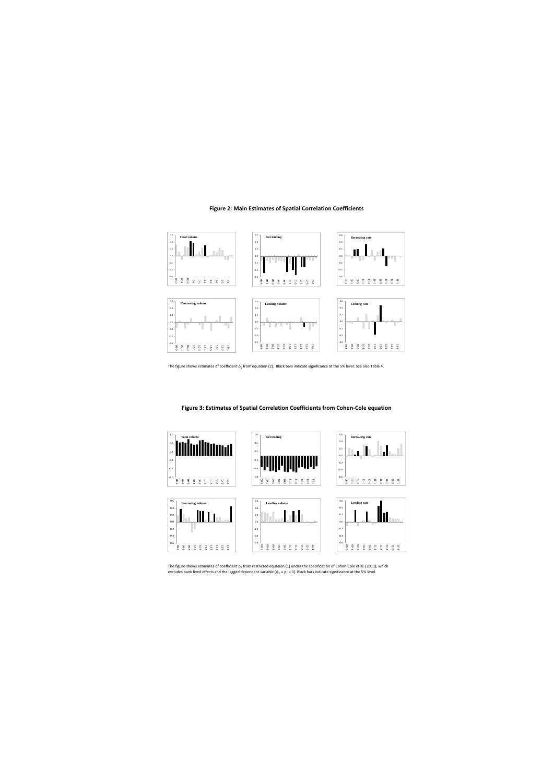#### **Figure 2: Main Estimates of Spatial Correlation Coefficients**



The figure shows estimates of coefficient  $p_0$  from equation (2). Black bars indicate significance at the 5% level. See also Table 4.





The figure shows estimates of coefficient  $p_0$  from restricted equation (1) under the specification of Cohen-Cole et al. (2011), which excludes bank fixed effects and the lagged dependent variable ( $\psi_1 = \rho_1 = 0$ ). Black bars indicate significance at the 5% level.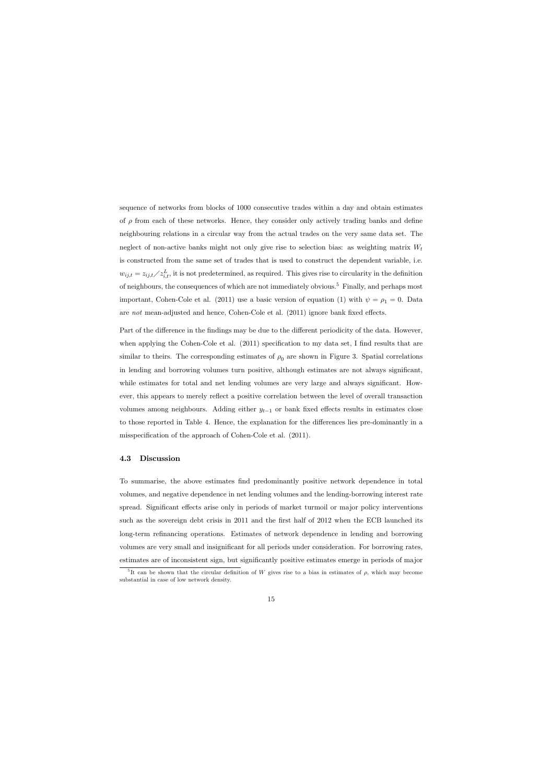sequence of networks from blocks of 1000 consecutive trades within a day and obtain estimates of  $\rho$  from each of these networks. Hence, they consider only actively trading banks and define neighbouring relations in a circular way from the actual trades on the very same data set. The neglect of non-active banks might not only give rise to selection bias: as weighting matrix  $W_t$ is constructed from the same set of trades that is used to construct the dependent variable, i.e.  $w_{ij,t} = z_{ij,t} / z_{i,t}^L$ , it is not predetermined, as required. This gives rise to circularity in the definition of neighbours, the consequences of which are not immediately obvious.<sup>5</sup> Finally, and perhaps most important, Cohen-Cole et al. (2011) use a basic version of equation (1) with  $\psi = \rho_1 = 0$ . Data are not mean-adjusted and hence, Cohen-Cole et al.  $(2011)$  ignore bank fixed effects.

Part of the difference in the findings may be due to the different periodicity of the data. However, when applying the Cohen-Cole et al.  $(2011)$  specification to my data set, I find results that are similar to theirs. The corresponding estimates of  $\rho_0$  are shown in Figure 3. Spatial correlations in lending and borrowing volumes turn positive, although estimates are not always significant, while estimates for total and net lending volumes are very large and always significant. However, this appears to merely reflect a positive correlation between the level of overall transaction volumes among neighbours. Adding either  $y_{t-1}$  or bank fixed effects results in estimates close to those reported in Table 4. Hence, the explanation for the differences lies pre-dominantly in a misspecification of the approach of Cohen-Cole et al. (2011).

#### 4.3 Discussion

To summarise, the above estimates Önd predominantly positive network dependence in total volumes, and negative dependence in net lending volumes and the lending-borrowing interest rate spread. Significant effects arise only in periods of market turmoil or major policy interventions such as the sovereign debt crisis in 2011 and the first half of 2012 when the ECB launched its long-term refinancing operations. Estimates of network dependence in lending and borrowing volumes are very small and insignificant for all periods under consideration. For borrowing rates, estimates are of inconsistent sign, but significantly positive estimates emerge in periods of major

<sup>&</sup>lt;sup>5</sup>It can be shown that the circular definition of W gives rise to a bias in estimates of  $\rho$ , which may become substantial in case of low network density.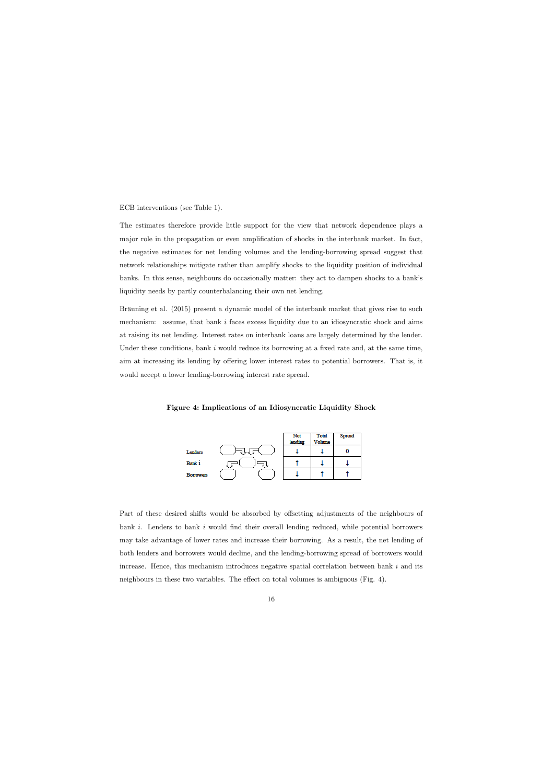ECB interventions (see Table 1).

The estimates therefore provide little support for the view that network dependence plays a major role in the propagation or even amplification of shocks in the interbank market. In fact, the negative estimates for net lending volumes and the lending-borrowing spread suggest that network relationships mitigate rather than amplify shocks to the liquidity position of individual banks. In this sense, neighbours do occasionally matter: they act to dampen shocks to a bankís liquidity needs by partly counterbalancing their own net lending.

Bräuning et al. (2015) present a dynamic model of the interbank market that gives rise to such mechanism: assume, that bank  $i$  faces excess liquidity due to an idiosyncratic shock and aims at raising its net lending. Interest rates on interbank loans are largely determined by the lender. Under these conditions, bank  $i$  would reduce its borrowing at a fixed rate and, at the same time, aim at increasing its lending by offering lower interest rates to potential borrowers. That is, it would accept a lower lending-borrowing interest rate spread.

Figure 4: Implications of an Idiosyncratic Liquidity Shock



Part of these desired shifts would be absorbed by offsetting adjustments of the neighbours of bank  $i$ . Lenders to bank  $i$  would find their overall lending reduced, while potential borrowers may take advantage of lower rates and increase their borrowing. As a result, the net lending of both lenders and borrowers would decline, and the lending-borrowing spread of borrowers would increase. Hence, this mechanism introduces negative spatial correlation between bank  $i$  and its neighbours in these two variables. The effect on total volumes is ambiguous (Fig.  $4$ ).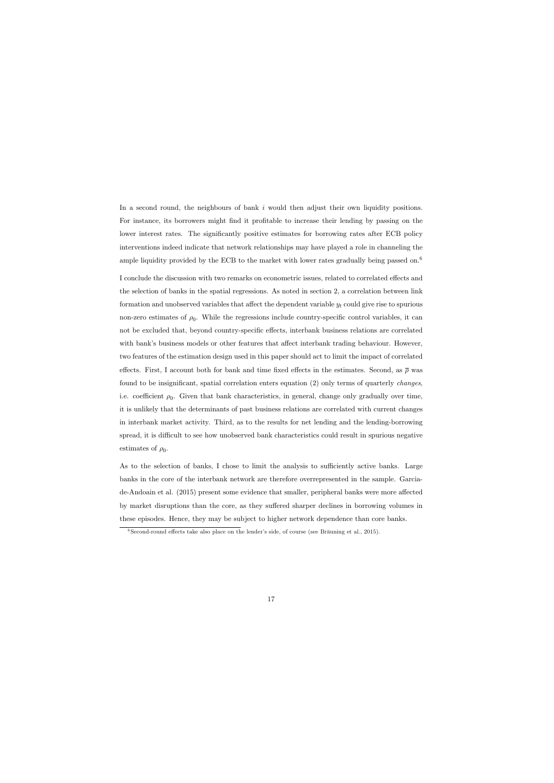In a second round, the neighbours of bank i would then adjust their own liquidity positions. For instance, its borrowers might find it profitable to increase their lending by passing on the lower interest rates. The significantly positive estimates for borrowing rates after ECB policy interventions indeed indicate that network relationships may have played a role in channeling the ample liquidity provided by the ECB to the market with lower rates gradually being passed on.<sup>6</sup>

I conclude the discussion with two remarks on econometric issues, related to correlated effects and the selection of banks in the spatial regressions. As noted in section 2, a correlation between link formation and unobserved variables that affect the dependent variable  $y_t$  could give rise to spurious non-zero estimates of  $\rho_0$ . While the regressions include country-specific control variables, it can not be excluded that, beyond country-specific effects, interbank business relations are correlated with bank's business models or other features that affect interbank trading behaviour. However, two features of the estimation design used in this paper should act to limit the impact of correlated effects. First, I account both for bank and time fixed effects in the estimates. Second, as  $\bar{\rho}$  was found to be insignificant, spatial correlation enters equation  $(2)$  only terms of quarterly *changes*, i.e. coefficient  $\rho_0$ . Given that bank characteristics, in general, change only gradually over time, it is unlikely that the determinants of past business relations are correlated with current changes in interbank market activity. Third, as to the results for net lending and the lending-borrowing spread, it is difficult to see how unobserved bank characteristics could result in spurious negative estimates of  $\rho_0$ .

As to the selection of banks, I chose to limit the analysis to sufficiently active banks. Large banks in the core of the interbank network are therefore overrepresented in the sample. Garciade-Andoain et al. (2015) present some evidence that smaller, peripheral banks were more affected by market disruptions than the core, as they suffered sharper declines in borrowing volumes in these episodes. Hence, they may be subject to higher network dependence than core banks.

 $6\degree$ Second-round effects take also place on the lender's side, of course (see Bräuning et al., 2015).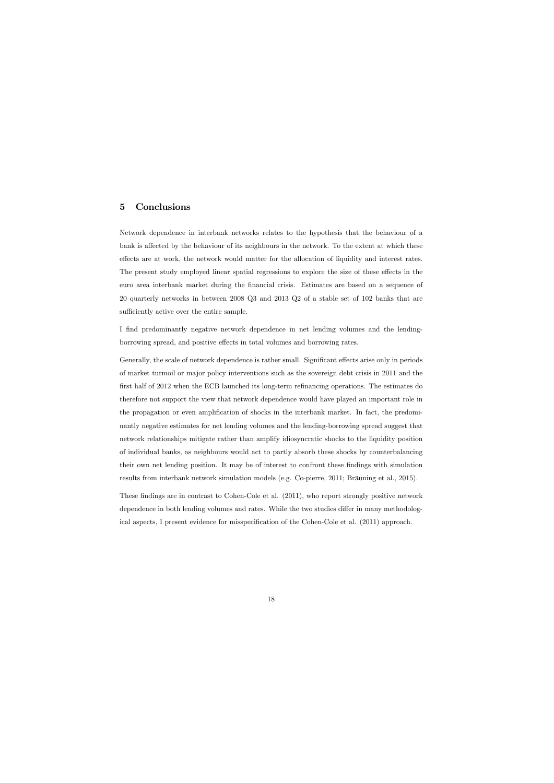# 5 Conclusions

Network dependence in interbank networks relates to the hypothesis that the behaviour of a bank is affected by the behaviour of its neighbours in the network. To the extent at which these effects are at work, the network would matter for the allocation of liquidity and interest rates. The present study employed linear spatial regressions to explore the size of these effects in the euro area interbank market during the Önancial crisis. Estimates are based on a sequence of 20 quarterly networks in between 2008 Q3 and 2013 Q2 of a stable set of 102 banks that are sufficiently active over the entire sample.

I find predominantly negative network dependence in net lending volumes and the lendingborrowing spread, and positive effects in total volumes and borrowing rates.

Generally, the scale of network dependence is rather small. Significant effects arise only in periods of market turmoil or major policy interventions such as the sovereign debt crisis in 2011 and the first half of 2012 when the ECB launched its long-term refinancing operations. The estimates do therefore not support the view that network dependence would have played an important role in the propagation or even amplification of shocks in the interbank market. In fact, the predominantly negative estimates for net lending volumes and the lending-borrowing spread suggest that network relationships mitigate rather than amplify idiosyncratic shocks to the liquidity position of individual banks, as neighbours would act to partly absorb these shocks by counterbalancing their own net lending position. It may be of interest to confront these findings with simulation results from interbank network simulation models (e.g. Co-pierre, 2011; Bräuning et al., 2015).

These findings are in contrast to Cohen-Cole et al. (2011), who report strongly positive network dependence in both lending volumes and rates. While the two studies differ in many methodological aspects, I present evidence for misspecification of the Cohen-Cole et al. (2011) approach.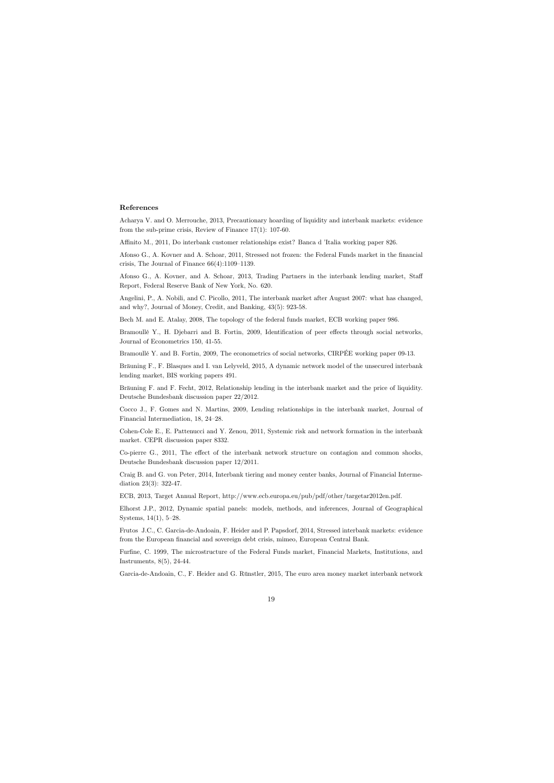#### References

Acharya V. and O. Merrouche, 2013, Precautionary hoarding of liquidity and interbank markets: evidence from the sub-prime crisis, Review of Finance 17(1): 107-60.

Affinito M., 2011, Do interbank customer relationships exist? Banca d 'Italia working paper 826.

Afonso G., A. Kovner and A. Schoar, 2011, Stressed not frozen: the Federal Funds market in the financial crisis, The Journal of Finance  $66(4):1109-1139$ .

Afonso G., A. Kovner, and A. Schoar, 2013, Trading Partners in the interbank lending market, Staff Report, Federal Reserve Bank of New York, No. 620.

Angelini, P., A. Nobili, and C. Picollo, 2011, The interbank market after August 2007: what has changed, and why?, Journal of Money, Credit, and Banking, 43(5): 923-58.

Bech M. and E. Atalay, 2008, The topology of the federal funds market, ECB working paper 986.

Bramoullé Y., H. Djebarri and B. Fortin, 2009, Identification of peer effects through social networks, Journal of Econometrics 150, 41-55.

Bramoullé Y. and B. Fortin, 2009, The econometrics of social networks, CIRPÉE working paper 09-13.

Bräuning F., F. Blasques and I. van Lelyveld, 2015, A dynamic network model of the unsecured interbank lending market, BIS working papers 491.

Bräuning F. and F. Fecht, 2012, Relationship lending in the interbank market and the price of liquidity. Deutsche Bundesbank discussion paper 22/2012.

Cocco J., F. Gomes and N. Martins, 2009, Lending relationships in the interbank market, Journal of Financial Intermediation, 18, 24–28.

Cohen-Cole E., E. Pattenucci and Y. Zenou, 2011, Systemic risk and network formation in the interbank market. CEPR discussion paper 8332.

Co-pierre G., 2011, The effect of the interbank network structure on contagion and common shocks, Deutsche Bundesbank discussion paper 12/2011.

Craig B. and G. von Peter, 2014, Interbank tiering and money center banks, Journal of Financial Intermediation 23(3): 322-47.

ECB, 2013, Target Annual Report, http://www.ecb.europa.eu/pub/pdf/other/targetar2012en.pdf.

Elhorst J.P., 2012, Dynamic spatial panels: models, methods, and inferences, Journal of Geographical Systems,  $14(1)$ ,  $5-28$ .

Frutos J.C., C. Garcia-de-Andoain, F. Heider and P. Papsdorf, 2014, Stressed interbank markets: evidence from the European financial and sovereign debt crisis, mimeo, European Central Bank.

Furfine, C. 1999, The microstructure of the Federal Funds market, Financial Markets, Institutions, and Instruments, 8(5), 24-44.

Garcia-de-Andoain, C., F. Heider and G. Rünstler, 2015, The euro area money market interbank network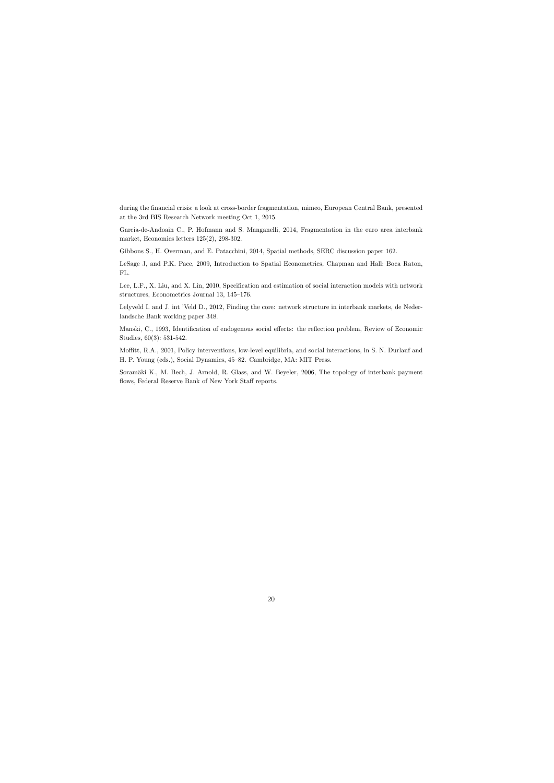during the financial crisis: a look at cross-border fragmentation, mimeo, European Central Bank, presented at the 3rd BIS Research Network meeting Oct 1, 2015.

Garcia-de-Andoain C., P. Hofmann and S. Manganelli, 2014, Fragmentation in the euro area interbank market, Economics letters 125(2), 298-302.

Gibbons S., H. Overman, and E. Patacchini, 2014, Spatial methods, SERC discussion paper 162.

LeSage J, and P.K. Pace, 2009, Introduction to Spatial Econometrics, Chapman and Hall: Boca Raton, FL.

Lee, L.F., X. Liu, and X. Lin, 2010, Specification and estimation of social interaction models with network structures, Econometrics Journal 13,  $145-176$ .

Lelyveld I. and J. int 'Veld D., 2012, Finding the core: network structure in interbank markets, de Nederlandsche Bank working paper 348.

Manski, C., 1993, Identification of endogenous social effects: the reflection problem, Review of Economic Studies, 60(3): 531-542.

Moffitt, R.A., 2001, Policy interventions, low-level equilibria, and social interactions, in S. N. Durlauf and H. P. Young (eds.), Social Dynamics, 45–82. Cambridge, MA: MIT Press.

Soramäki K., M. Bech, J. Arnold, R. Glass, and W. Beyeler, 2006, The topology of interbank payment flows, Federal Reserve Bank of New York Staff reports.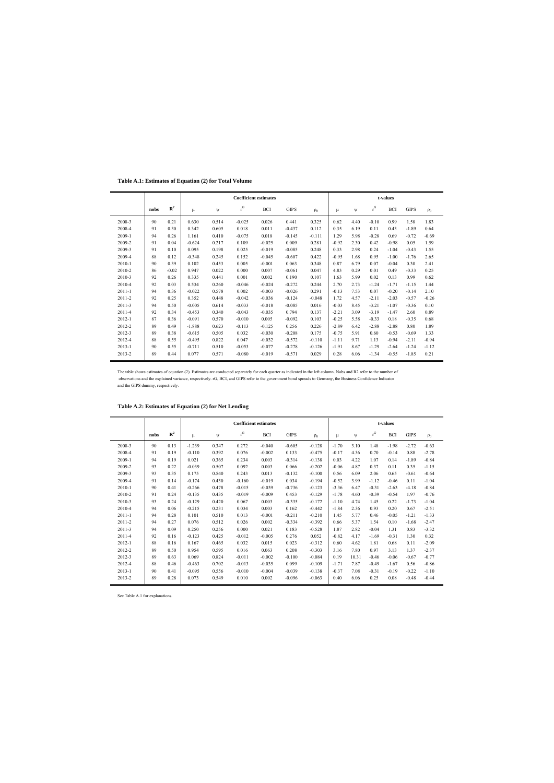**Table A.1: Estimates of Equation (2) for Total Volume**

|            |      |             |          |       |          | <b>Coefficient estimates</b> |             |          |         |      |         | t-values   |             |          |
|------------|------|-------------|----------|-------|----------|------------------------------|-------------|----------|---------|------|---------|------------|-------------|----------|
|            | nobs | ${\bf R}^2$ | μ        | Ψ     | $r^G$    | <b>BCI</b>                   | <b>GIPS</b> | $\rho_0$ | μ       | Ψ    | $r^G$   | <b>BCI</b> | <b>GIPS</b> | $\rho_0$ |
| 2008-3     | 90   | 0.21        | 0.630    | 0.514 | $-0.025$ | 0.026                        | 0.441       | 0.325    | 0.62    | 4.40 | $-0.10$ | 0.99       | 1.58        | 1.83     |
| 2008-4     | 91   | 0.30        | 0.342    | 0.605 | 0.018    | 0.011                        | $-0.437$    | 0.112    | 0.35    | 6.19 | 0.11    | 0.43       | $-1.89$     | 0.64     |
| 2009-1     | 94   | 0.26        | 1.161    | 0.410 | $-0.075$ | 0.018                        | $-0.145$    | $-0.111$ | 1.29    | 5.98 | $-0.28$ | 0.69       | $-0.72$     | $-0.69$  |
| 2009-2     | 91   | 0.04        | $-0.624$ | 0.217 | 0.109    | $-0.025$                     | 0.009       | 0.281    | $-0.92$ | 2.30 | 0.42    | $-0.98$    | 0.05        | 1.59     |
| 2009-3     | 91   | 0.10        | 0.095    | 0.198 | 0.025    | $-0.019$                     | $-0.085$    | 0.248    | 0.33    | 2.98 | 0.24    | $-1.04$    | $-0.43$     | 1.55     |
| 2009-4     | 88   | 0.12        | $-0.348$ | 0.245 | 0.152    | $-0.045$                     | $-0.607$    | 0.422    | $-0.95$ | 1.68 | 0.95    | $-1.00$    | $-1.76$     | 2.65     |
| 2010-1     | 90   | 0.39        | 0.102    | 0.453 | 0.005    | $-0.001$                     | 0.063       | 0.348    | 0.87    | 6.79 | 0.07    | $-0.04$    | 0.30        | 2.41     |
| 2010-2     | 86   | $-0.02$     | 0.947    | 0.022 | 0.000    | 0.007                        | $-0.061$    | 0.047    | 4.83    | 0.29 | 0.01    | 0.49       | $-0.33$     | 0.25     |
| 2010-3     | 92   | 0.26        | 0.335    | 0.441 | 0.001    | 0.002                        | 0.190       | 0.107    | 1.63    | 5.99 | 0.02    | 0.13       | 0.99        | 0.62     |
| 2010-4     | 92   | 0.03        | 0.534    | 0.260 | $-0.046$ | $-0.024$                     | $-0.272$    | 0.244    | 2.70    | 2.73 | $-1.24$ | $-1.71$    | $-1.15$     | 1.44     |
| $2011 - 1$ | 94   | 0.36        | $-0.022$ | 0.578 | 0.002    | $-0.003$                     | $-0.026$    | 0.291    | $-0.13$ | 7.53 | 0.07    | $-0.20$    | $-0.14$     | 2.10     |
| 2011-2     | 92   | 0.25        | 0.352    | 0.448 | $-0.042$ | $-0.036$                     | $-0.124$    | $-0.048$ | 1.72    | 4.57 | $-2.11$ | $-2.03$    | $-0.57$     | $-0.26$  |
| 2011-3     | 94   | 0.50        | $-0.005$ | 0.614 | $-0.033$ | $-0.018$                     | $-0.085$    | 0.016    | $-0.03$ | 8.45 | $-3.21$ | $-1.07$    | $-0.36$     | 0.10     |
| 2011-4     | 92   | 0.34        | $-0.453$ | 0.340 | $-0.043$ | $-0.035$                     | 0.794       | 0.137    | $-2.21$ | 3.09 | $-3.19$ | $-1.47$    | 2.60        | 0.89     |
| $2012 - 1$ | 87   | 0.36        | $-0.091$ | 0.570 | $-0.010$ | 0.005                        | $-0.092$    | 0.103    | $-0.25$ | 5.58 | $-0.33$ | 0.18       | $-0.35$     | 0.68     |
| 2012-2     | 89   | 0.49        | $-1.888$ | 0.623 | $-0.113$ | $-0.125$                     | 0.256       | 0.226    | $-2.89$ | 6.42 | $-2.88$ | $-2.88$    | 0.80        | 1.89     |
| 2012-3     | 89   | 0.38        | $-0.615$ | 0.505 | 0.032    | $-0.030$                     | $-0.208$    | 0.175    | $-0.75$ | 5.91 | 0.60    | $-0.53$    | $-0.69$     | 1.33     |
| 2012-4     | 88   | 0.55        | $-0.495$ | 0.822 | 0.047    | $-0.032$                     | $-0.572$    | $-0.110$ | $-1.11$ | 9.71 | 1.13    | $-0.94$    | $-2.11$     | $-0.94$  |
| $2013 - 1$ | 90   | 0.55        | $-0.711$ | 0.510 | $-0.053$ | $-0.077$                     | $-0.278$    | $-0.126$ | $-1.91$ | 8.67 | $-1.29$ | $-2.64$    | $-1.24$     | $-1.12$  |
| 2013-2     | 89   | 0.44        | 0.077    | 0.571 | $-0.080$ | $-0.019$                     | $-0.571$    | 0.029    | 0.28    | 6.06 | $-1.34$ | $-0.55$    | $-1.85$     | 0.21     |

The table shows estimates of equation (2). Estimates are conducted separately for each quarter as indicated in the left column. Nobs and R2 refer to the number of observations and the explained variance, respectively. rG, BCI, and GIPS refer to the government bond spreads to Germany, the Business Confidence Indicator and the GIPS dummy, respectively.

|            |      |             |          |       |                         | <b>Coefficient estimates</b> |             |          |         |       |           | t-values   |             |          |
|------------|------|-------------|----------|-------|-------------------------|------------------------------|-------------|----------|---------|-------|-----------|------------|-------------|----------|
|            | nobs | ${\bf R}^2$ | μ        | Ψ     | $\mathbf{r}^\mathrm{G}$ | BCI                          | <b>GIPS</b> | $\rho_0$ | μ       | Ψ     | $\rm r^G$ | <b>BCI</b> | <b>GIPS</b> | $\rho_0$ |
| 2008-3     | 90   | 0.13        | $-1.239$ | 0.347 | 0.272                   | $-0.040$                     | $-0.605$    | $-0.128$ | $-1.70$ | 3.10  | 1.48      | $-1.98$    | $-2.72$     | $-0.63$  |
| 2008-4     | 91   | 0.19        | $-0.110$ | 0.392 | 0.076                   | $-0.002$                     | 0.133       | $-0.475$ | $-0.17$ | 4.36  | 0.70      | $-0.14$    | 0.88        | $-2.78$  |
| 2009-1     | 94   | 0.19        | 0.021    | 0.365 | 0.234                   | 0.003                        | $-0.314$    | $-0.138$ | 0.03    | 4.22  | 1.07      | 0.14       | $-1.89$     | $-0.84$  |
| 2009-2     | 93   | 0.22        | $-0.039$ | 0.507 | 0.092                   | 0.003                        | 0.066       | $-0.202$ | $-0.06$ | 4.87  | 0.37      | 0.11       | 0.35        | $-1.15$  |
| 2009-3     | 93   | 0.35        | 0.175    | 0.540 | 0.243                   | 0.013                        | $-0.132$    | $-0.100$ | 0.56    | 6.09  | 2.06      | 0.65       | $-0.61$     | $-0.64$  |
| 2009-4     | 91   | 0.14        | $-0.174$ | 0.430 | $-0.160$                | $-0.019$                     | 0.034       | $-0.194$ | $-0.52$ | 3.99  | $-1.12$   | $-0.46$    | 0.11        | $-1.04$  |
| 2010-1     | 90   | 0.41        | $-0.266$ | 0.478 | $-0.015$                | $-0.039$                     | $-0.736$    | $-0.123$ | $-3.36$ | 6.47  | $-0.31$   | $-2.63$    | $-4.18$     | $-0.84$  |
| 2010-2     | 91   | 0.24        | $-0.135$ | 0.435 | $-0.019$                | $-0.009$                     | 0.453       | $-0.129$ | $-1.78$ | 4.60  | $-0.39$   | $-0.54$    | 1.97        | $-0.76$  |
| 2010-3     | 93   | 0.24        | $-0.129$ | 0.420 | 0.067                   | 0.003                        | $-0.335$    | $-0.172$ | $-1.10$ | 4.74  | 1.45      | 0.22       | $-1.73$     | $-1.04$  |
| 2010-4     | 94   | 0.06        | $-0.215$ | 0.231 | 0.034                   | 0.003                        | 0.162       | $-0.442$ | $-1.84$ | 2.36  | 0.93      | 0.20       | 0.67        | $-2.51$  |
| $2011 - 1$ | 94   | 0.28        | 0.101    | 0.510 | 0.013                   | $-0.001$                     | $-0.211$    | $-0.210$ | 1.45    | 5.77  | 0.46      | $-0.05$    | $-1.21$     | $-1.33$  |
| 2011-2     | 94   | 0.27        | 0.076    | 0.512 | 0.026                   | 0.002                        | $-0.334$    | $-0.392$ | 0.66    | 5.37  | 1.54      | 0.10       | $-1.68$     | $-2.47$  |
| 2011-3     | 94   | 0.09        | 0.250    | 0.256 | 0.000                   | 0.021                        | 0.183       | $-0.528$ | 1.87    | 2.82  | $-0.04$   | 1.31       | 0.83        | $-3.32$  |
| 2011-4     | 92   | 0.16        | $-0.123$ | 0.425 | $-0.012$                | $-0.005$                     | 0.276       | 0.052    | $-0.82$ | 4.17  | $-1.69$   | $-0.31$    | 1.30        | 0.32     |
| $2012 - 1$ | 88   | 0.16        | 0.167    | 0.465 | 0.032                   | 0.015                        | 0.023       | $-0.312$ | 0.60    | 4.62  | 1.81      | 0.68       | 0.11        | $-2.09$  |
| 2012-2     | 89   | 0.50        | 0.954    | 0.595 | 0.016                   | 0.063                        | 0.208       | $-0.303$ | 3.16    | 7.80  | 0.97      | 3.13       | 1.37        | $-2.37$  |
| 2012-3     | 89   | 0.63        | 0.069    | 0.824 | $-0.011$                | $-0.002$                     | $-0.100$    | $-0.084$ | 0.19    | 10.31 | $-0.46$   | $-0.06$    | $-0.67$     | $-0.77$  |
| 2012-4     | 88   | 0.46        | $-0.463$ | 0.702 | $-0.013$                | $-0.035$                     | 0.099       | $-0.109$ | $-1.71$ | 7.87  | $-0.49$   | $-1.67$    | 0.56        | $-0.86$  |
| $2013 - 1$ | 90   | 0.41        | $-0.095$ | 0.556 | $-0.010$                | $-0.004$                     | $-0.039$    | $-0.138$ | $-0.37$ | 7.08  | $-0.31$   | $-0.19$    | $-0.22$     | $-1.10$  |
| 2013-2     | 89   | 0.28        | 0.073    | 0.549 | 0.010                   | 0.002                        | $-0.096$    | $-0.063$ | 0.40    | 6.06  | 0.25      | 0.08       | $-0.48$     | $-0.44$  |

**Table A.2: Estimates of Equation (2) for Net Lending**

See Table A.1 for explanations.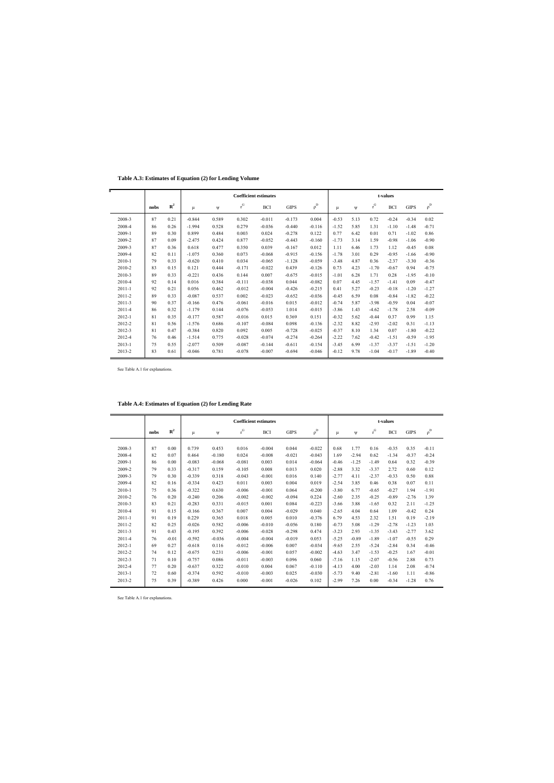**Table A.3: Estimates of Equation (2) for Lending Volume**

|            |      |             |          |       |                         | <b>Coefficient estimates</b> |             |          |         |      |                         | t-values   |             |          |
|------------|------|-------------|----------|-------|-------------------------|------------------------------|-------------|----------|---------|------|-------------------------|------------|-------------|----------|
|            | nobs | ${\bf R}^2$ | μ        | Ψ     | $\mathbf{r}^\mathrm{G}$ | <b>BCI</b>                   | <b>GIPS</b> | $\rho^D$ | μ       | Ψ    | $\mathbf{r}^\mathrm{G}$ | <b>BCI</b> | <b>GIPS</b> | $\rho^D$ |
| 2008-3     | 87   | 0.21        | $-0.844$ | 0.589 | 0.302                   | $-0.011$                     | $-0.173$    | 0.004    | $-0.53$ | 5.13 | 0.72                    | $-0.24$    | $-0.34$     | 0.02     |
| 2008-4     | 86   | 0.26        | $-1.994$ | 0.528 | 0.279                   | $-0.036$                     | $-0.440$    | $-0.116$ | $-1.52$ | 5.85 | 1.31                    | $-1.10$    | $-1.48$     | $-0.71$  |
| 2009-1     | 89   | 0.30        | 0.899    | 0.484 | 0.003                   | 0.024                        | $-0.278$    | 0.122    | 0.77    | 6.42 | 0.01                    | 0.71       | $-1.02$     | 0.86     |
| 2009-2     | 87   | 0.09        | $-2.475$ | 0.424 | 0.877                   | $-0.052$                     | $-0.443$    | $-0.160$ | $-1.73$ | 3.14 | 1.59                    | $-0.98$    | $-1.06$     | $-0.90$  |
| 2009-3     | 87   | 0.36        | 0.618    | 0.477 | 0.350                   | 0.039                        | $-0.167$    | 0.012    | 1.11    | 6.46 | 1.73                    | 1.12       | $-0.45$     | 0.08     |
| 2009-4     | 82   | 0.11        | $-1.075$ | 0.360 | 0.073                   | $-0.068$                     | $-0.915$    | $-0.156$ | $-1.78$ | 3.01 | 0.29                    | $-0.95$    | $-1.66$     | $-0.90$  |
| 2010-1     | 79   | 0.33        | $-0.620$ | 0.410 | 0.034                   | $-0.065$                     | $-1.128$    | $-0.059$ | $-3.48$ | 4.87 | 0.36                    | $-2.37$    | $-3.30$     | $-0.36$  |
| 2010-2     | 83   | 0.15        | 0.121    | 0.444 | $-0.171$                | $-0.022$                     | 0.439       | $-0.126$ | 0.73    | 4.23 | $-1.70$                 | $-0.67$    | 0.94        | $-0.75$  |
| 2010-3     | 89   | 0.33        | $-0.221$ | 0.436 | 0.144                   | 0.007                        | $-0.675$    | $-0.015$ | $-1.01$ | 6.28 | 1.71                    | 0.28       | $-1.95$     | $-0.10$  |
| 2010-4     | 92   | 0.14        | 0.016    | 0.384 | $-0.111$                | $-0.038$                     | 0.044       | $-0.082$ | 0.07    | 4.45 | $-1.57$                 | $-1.41$    | 0.09        | $-0.47$  |
| $2011 - 1$ | 92   | 0.21        | 0.056    | 0.462 | $-0.012$                | $-0.004$                     | $-0.426$    | $-0.215$ | 0.41    | 5.27 | $-0.23$                 | $-0.18$    | $-1.20$     | $-1.27$  |
| 2011-2     | 89   | 0.33        | $-0.087$ | 0.537 | 0.002                   | $-0.023$                     | $-0.652$    | $-0.036$ | $-0.45$ | 6.59 | 0.08                    | $-0.84$    | $-1.82$     | $-0.22$  |
| 2011-3     | 90   | 0.37        | $-0.166$ | 0.476 | $-0.061$                | $-0.016$                     | 0.015       | $-0.012$ | $-0.74$ | 5.87 | $-3.98$                 | $-0.59$    | 0.04        | $-0.07$  |
| 2011-4     | 86   | 0.32        | $-1.179$ | 0.144 | $-0.076$                | $-0.053$                     | 1.014       | $-0.015$ | $-3.86$ | 1.43 | $-4.62$                 | $-1.78$    | 2.58        | $-0.09$  |
| $2012 - 1$ | 81   | 0.35        | $-0.177$ | 0.587 | $-0.016$                | 0.015                        | 0.369       | 0.151    | $-0.32$ | 5.62 | $-0.44$                 | 0.37       | 0.99        | 1.15     |
| 2012-2     | 81   | 0.56        | $-1.576$ | 0.686 | $-0.107$                | $-0.084$                     | 0.098       | $-0.136$ | $-2.32$ | 8.82 | $-2.93$                 | $-2.02$    | 0.31        | $-1.13$  |
| 2012-3     | 81   | 0.47        | $-0.384$ | 0.820 | 0.092                   | 0.005                        | $-0.728$    | $-0.025$ | $-0.37$ | 8.10 | 1.34                    | 0.07       | $-1.80$     | $-0.22$  |
| 2012-4     | 76   | 0.46        | $-1.514$ | 0.775 | $-0.028$                | $-0.074$                     | $-0.274$    | $-0.264$ | $-2.22$ | 7.62 | $-0.42$                 | $-1.51$    | $-0.59$     | $-1.95$  |
| $2013 - 1$ | 75   | 0.55        | $-2.077$ | 0.509 | $-0.087$                | $-0.144$                     | $-0.611$    | $-0.154$ | $-3.45$ | 6.99 | $-1.37$                 | $-3.37$    | $-1.51$     | $-1.20$  |
| 2013-2     | 83   | 0.61        | $-0.046$ | 0.781 | $-0.078$                | $-0.007$                     | $-0.694$    | $-0.046$ | $-0.12$ | 9.78 | $-1.04$                 | $-0.17$    | $-1.89$     | $-0.40$  |

See Table A.1 for explanations.

|  | Table A.4: Estimates of Equation (2) for Lending Rate |
|--|-------------------------------------------------------|
|--|-------------------------------------------------------|

|            |      |             |          |          |           | <b>Coefficient estimates</b> |             |          |         |         |         | t-values   |             |          |
|------------|------|-------------|----------|----------|-----------|------------------------------|-------------|----------|---------|---------|---------|------------|-------------|----------|
|            | nobs | ${\bf R}^2$ | μ        | ψ        | $\rm r^G$ | <b>BCI</b>                   | <b>GIPS</b> | $\rho^D$ | μ       | $\Psi$  | $r^G$   | <b>BCI</b> | <b>GIPS</b> | $\rho^D$ |
|            |      |             |          |          |           |                              |             |          |         |         |         |            |             |          |
| 2008-3     | 87   | 0.00        | 0.739    | 0.453    | 0.016     | $-0.004$                     | 0.044       | $-0.022$ | 0.68    | 1.77    | 0.16    | $-0.35$    | 0.35        | $-0.11$  |
| 2008-4     | 82   | 0.07        | 0.464    | $-0.180$ | 0.024     | $-0.008$                     | $-0.021$    | $-0.043$ | 1.69    | $-2.94$ | 0.62    | $-1.34$    | $-0.37$     | $-0.24$  |
| 2009-1     | 86   | 0.00        | $-0.083$ | $-0.068$ | $-0.081$  | 0.003                        | 0.014       | $-0.064$ | $-0.46$ | $-1.25$ | $-1.49$ | 0.64       | 0.32        | $-0.39$  |
| 2009-2     | 79   | 0.33        | $-0.317$ | 0.159    | $-0.105$  | 0.008                        | 0.013       | 0.020    | $-2.88$ | 3.32    | $-3.37$ | 2.72       | 0.60        | 0.12     |
| 2009-3     | 79   | 0.30        | $-0.339$ | 0.318    | $-0.043$  | $-0.001$                     | 0.016       | 0.140    | $-2.77$ | 4.11    | $-2.37$ | $-0.33$    | 0.50        | 0.88     |
| 2009-4     | 82   | 0.16        | $-0.334$ | 0.423    | 0.011     | 0.003                        | 0.004       | 0.019    | $-2.54$ | 3.85    | 0.46    | 0.38       | 0.07        | 0.11     |
| 2010-1     | 75   | 0.36        | $-0.322$ | 0.630    | $-0.006$  | $-0.001$                     | 0.064       | $-0.200$ | $-3.80$ | 6.77    | $-0.65$ | $-0.27$    | 1.94        | $-1.91$  |
| 2010-2     | 76   | 0.20        | $-0.240$ | 0.206    | $-0.002$  | $-0.002$                     | $-0.094$    | 0.224    | $-2.60$ | 2.35    | $-0.25$ | $-0.89$    | $-2.76$     | 1.39     |
| 2010-3     | 83   | 0.21        | $-0.283$ | 0.331    | $-0.015$  | 0.001                        | 0.084       | $-0.223$ | $-3.66$ | 3.88    | $-1.65$ | 0.32       | 2.11        | $-1.25$  |
| 2010-4     | 91   | 0.15        | $-0.166$ | 0.367    | 0.007     | 0.004                        | $-0.029$    | 0.040    | $-2.65$ | 4.04    | 0.64    | 1.09       | $-0.42$     | 0.24     |
| $2011 - 1$ | 91   | 0.19        | 0.229    | 0.365    | 0.018     | 0.005                        | 0.010       | $-0.376$ | 6.79    | 4.53    | 2.32    | 1.51       | 0.19        | $-2.19$  |
| 2011-2     | 82   | 0.25        | $-0.026$ | 0.582    | $-0.006$  | $-0.010$                     | $-0.056$    | 0.180    | $-0.73$ | 5.08    | $-1.29$ | $-2.78$    | $-1.23$     | 1.03     |
| 2011-3     | 91   | 0.43        | $-0.195$ | 0.392    | $-0.006$  | $-0.028$                     | $-0.298$    | 0.474    | $-3.23$ | 2.93    | $-1.35$ | $-3.43$    | $-2.77$     | 3.62     |
| 2011-4     | 76   | $-0.01$     | $-0.592$ | $-0.036$ | $-0.004$  | $-0.004$                     | $-0.019$    | 0.053    | $-5.25$ | $-0.89$ | $-1.89$ | $-1.07$    | $-0.55$     | 0.29     |
| $2012 - 1$ | 69   | 0.27        | $-0.618$ | 0.116    | $-0.012$  | $-0.006$                     | 0.007       | $-0.034$ | $-9.65$ | 2.55    | $-5.24$ | $-2.84$    | 0.34        | $-0.46$  |
| 2012-2     | 74   | 0.12        | $-0.675$ | 0.231    | $-0.006$  | $-0.001$                     | 0.057       | $-0.002$ | $-4.63$ | 3.47    | $-1.53$ | $-0.25$    | 1.67        | $-0.01$  |
| 2012-3     | 71   | 0.10        | $-0.757$ | 0.086    | $-0.011$  | $-0.003$                     | 0.096       | 0.060    | $-7.16$ | 1.15    | $-2.07$ | $-0.56$    | 2.88        | 0.73     |
| 2012-4     | 77   | 0.20        | $-0.637$ | 0.322    | $-0.010$  | 0.004                        | 0.067       | $-0.110$ | $-4.13$ | 4.00    | $-2.03$ | 1.14       | 2.08        | $-0.74$  |
| $2013 - 1$ | 72   | 0.60        | $-0.374$ | 0.592    | $-0.010$  | $-0.003$                     | 0.025       | $-0.030$ | $-5.73$ | 9.40    | $-2.81$ | $-1.60$    | 1.11        | $-0.86$  |
| 2013-2     | 75   | 0.39        | $-0.389$ | 0.426    | 0.000     | $-0.001$                     | $-0.026$    | 0.102    | $-2.99$ | 7.26    | 0.00    | $-0.34$    | $-1.28$     | 0.76     |

See Table A.1 for explanations.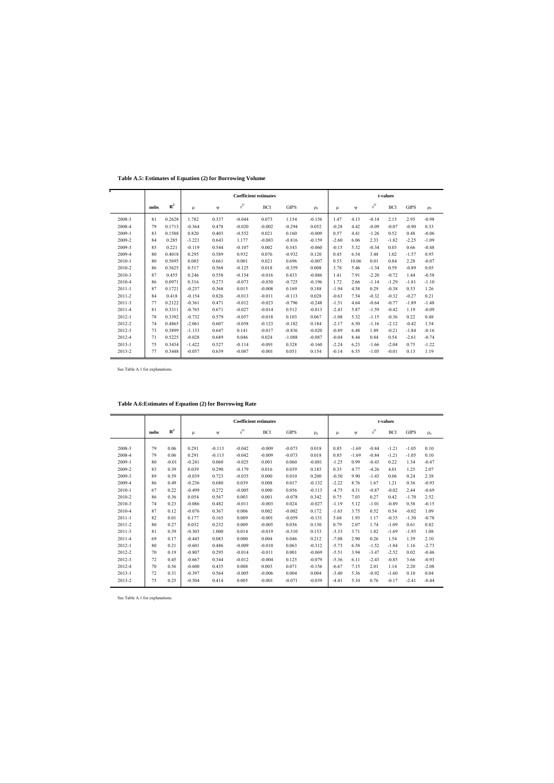**Table A.5: Estimates of Equation (2) for Borrowing Volume**

|            |      |             |          |       |           | <b>Coefficient estimates</b> |             |          |         |       |                         | t-values   |             |          |
|------------|------|-------------|----------|-------|-----------|------------------------------|-------------|----------|---------|-------|-------------------------|------------|-------------|----------|
|            | nobs | ${\bf R}^2$ | μ        | ψ     | $\rm r^G$ | <b>BCI</b>                   | <b>GIPS</b> | $\rho_0$ | μ       | W     | $\mathbf{r}^\mathrm{G}$ | <b>BCI</b> | <b>GIPS</b> | $\rho_0$ |
| 2008-3     | 81   | 0.2628      | 1.782    | 0.337 | $-0.044$  | 0.073                        | 1.154       | $-0.156$ | 1.47    | 4.13  | $-0.14$                 | 2.15       | 2.95        | $-0.98$  |
| 2008-4     | 79   | 0.1713      | $-0.364$ | 0.478 | $-0.020$  | $-0.002$                     | $-0.294$    | 0.052    | $-0.28$ | 4.42  | $-0.09$                 | $-0.07$    | $-0.90$     | 0.33     |
| 2009-1     | 83   | 0.1588      | 0.820    | 0.403 | $-0.552$  | 0.021                        | 0.160       | $-0.009$ | 0.57    | 4.41  | $-1.26$                 | 0.52       | 0.48        | $-0.06$  |
| 2009-2     | 84   | 0.285       | $-3.221$ | 0.643 | 1.177     | $-0.083$                     | $-0.816$    | $-0.159$ | $-2.60$ | 6.06  | 2.33                    | $-1.82$    | $-2.25$     | $-1.09$  |
| 2009-3     | 85   | 0.221       | $-0.119$ | 0.544 | $-0.107$  | 0.002                        | 0.343       | $-0.060$ | $-0.15$ | 5.32  | $-0.34$                 | 0.03       | 0.66        | $-0.48$  |
| 2009-4     | 80   | 0.4018      | 0.295    | 0.589 | 0.932     | 0.076                        | $-0.932$    | 0.120    | 0.45    | 6.54  | 3.48                    | 1.02       | $-1.57$     | 0.95     |
| 2010-1     | 80   | 0.5695      | 0.085    | 0.661 | 0.001     | 0.021                        | 0.696       | $-0.007$ | 0.53    | 10.06 | 0.01                    | 0.84       | 2.28        | $-0.07$  |
| 2010-2     | 86   | 0.3625      | 0.517    | 0.568 | $-0.125$  | 0.018                        | $-0.359$    | 0.008    | 3.78    | 5.46  | $-1.34$                 | 0.59       | $-0.89$     | 0.05     |
| 2010-3     | 87   | 0.455       | 0.246    | 0.558 | $-0.154$  | $-0.016$                     | 0.433       | $-0.086$ | 1.41    | 7.91  | $-2.20$                 | $-0.72$    | 1.44        | $-0.58$  |
| 2010-4     | 86   | 0.0971      | 0.316    | 0.273 | $-0.073$  | $-0.030$                     | $-0.725$    | $-0.196$ | 1.72    | 2.66  | $-1.14$                 | $-1.29$    | $-1.81$     | $-1.10$  |
| 2011-1     | 87   | 0.1721      | $-0.237$ | 0.368 | 0.015     | $-0.008$                     | 0.169       | 0.188    | $-1.94$ | 4.58  | 0.29                    | $-0.38$    | 0.53        | 1.26     |
| 2011-2     | 84   | 0.418       | $-0.154$ | 0.826 | $-0.013$  | $-0.011$                     | $-0.113$    | 0.028    | $-0.63$ | 7.54  | $-0.32$                 | $-0.32$    | $-0.27$     | 0.21     |
| $2011 - 3$ | 77   | 0.2122      | $-0.361$ | 0.471 | $-0.012$  | $-0.023$                     | $-0.796$    | $-0.248$ | $-1.51$ | 4.64  | $-0.64$                 | $-0.77$    | $-1.89$     | $-1.48$  |
| 2011-4     | 81   | 0.3311      | $-0.765$ | 0.671 | $-0.027$  | $-0.014$                     | 0.512       | $-0.013$ | $-2.43$ | 5.87  | $-1.59$                 | $-0.42$    | 1.19        | $-0.09$  |
| 2012-1     | 78   | 0.3392      | $-0.732$ | 0.579 | $-0.057$  | $-0.018$                     | 0.103       | 0.067    | $-1.08$ | 5.32  | $-1.15$                 | $-0.36$    | 0.22        | 0.48     |
| 2012-2     | 74   | 0.4865      | $-2.061$ | 0.607 | $-0.058$  | $-0.123$                     | $-0.182$    | 0.184    | $-2.17$ | 6.50  | $-1.16$                 | $-2.12$    | $-0.42$     | 1.54     |
| 2012-3     | 73   | 0.3899      | $-1.133$ | 0.647 | 0.141     | $-0.017$                     | $-0.836$    | $-0.020$ | $-0.89$ | 6.48  | 1.89                    | $-0.21$    | $-1.84$     | $-0.16$  |
| 2012-4     | 71   | 0.5225      | $-0.028$ | 0.689 | 0.046     | 0.024                        | $-1.088$    | $-0.087$ | $-0.04$ | 8.44  | 0.84                    | 0.54       | $-2.61$     | $-0.74$  |
| $2013 - 1$ | 75   | 0.3434      | $-1.422$ | 0.527 | $-0.114$  | $-0.091$                     | 0.328       | $-0.160$ | $-2.24$ | 6.23  | $-1.66$                 | $-2.04$    | 0.75        | $-1.22$  |
| 2013-2     | 77   | 0.3448      | $-0.057$ | 0.639 | $-0.087$  | $-0.001$                     | 0.051       | 0.154    | $-0.14$ | 6.55  | $-1.05$                 | $-0.01$    | 0.13        | 1.19     |

See Table A.1 for explanations.

|            |      |             |          |          |          | <b>Coefficient estimates</b> |             | t-values |         |         |                         |            |             |          |
|------------|------|-------------|----------|----------|----------|------------------------------|-------------|----------|---------|---------|-------------------------|------------|-------------|----------|
|            | nobs | ${\bf R}^2$ | μ        | Ψ        | $r^G$    | <b>BCI</b>                   | <b>GIPS</b> | $\rho_0$ | μ       | W       | $\mathbf{r}^\mathrm{G}$ | <b>BCI</b> | <b>GIPS</b> | $\rho_0$ |
|            |      |             |          |          |          |                              |             |          |         |         |                         |            |             |          |
| 2008-3     | 79   | 0.06        | 0.291    | $-0.113$ | $-0.042$ | $-0.009$                     | $-0.073$    | 0.018    | 0.85    | $-1.69$ | $-0.84$                 | $-1.21$    | $-1.05$     | 0.10     |
| 2008-4     | 79   | 0.06        | 0.291    | $-0.113$ | $-0.042$ | $-0.009$                     | $-0.073$    | 0.018    | 0.85    | $-1.69$ | $-0.84$                 | $-1.21$    | $-1.05$     | 0.10     |
| 2009-1     | 80   | $-0.01$     | $-0.241$ | 0.060    | $-0.025$ | 0.001                        | 0.060       | $-0.081$ | $-1.25$ | 0.99    | $-0.43$                 | 0.22       | 1.34        | $-0.47$  |
| 2009-2     | 83   | 0.39        | 0.039    | 0.290    | $-0.179$ | 0.016                        | 0.039       | 0.185    | 0.35    | 4.77    | $-4.26$                 | 4.01       | 1.25        | 2.07     |
| 2009-3     | 89   | 0.59        | $-0.039$ | 0.723    | $-0.035$ | 0.000                        | 0.010       | 0.200    | $-0.50$ | 9.90    | $-1.43$                 | 0.06       | 0.24        | 2.38     |
| 2009-4     | 86   | 0.49        | $-0.236$ | 0.680    | 0.039    | 0.008                        | 0.017       | $-0.132$ | $-2.22$ | 8.76    | 1.67                    | 1.21       | 0.36        | $-0.93$  |
| 2010-1     | 67   | 0.22        | $-0.499$ | 0.272    | $-0.005$ | 0.000                        | 0.056       | $-0.113$ | $-4.75$ | 4.31    | $-0.87$                 | $-0.02$    | 2.44        | $-0.69$  |
| 2010-2     | 86   | 0.36        | 0.054    | 0.567    | 0.003    | 0.001                        | $-0.078$    | 0.342    | 0.75    | 7.03    | 0.27                    | 0.42       | $-1.70$     | 2.52     |
| 2010-3     | 74   | 0.23        | $-0.086$ | 0.482    | $-0.011$ | $-0.003$                     | 0.024       | $-0.027$ | $-1.19$ | 5.12    | $-1.01$                 | $-0.89$    | 0.58        | $-0.15$  |
| 2010-4     | 87   | 0.12        | $-0.076$ | 0.367    | 0.006    | 0.002                        | $-0.002$    | 0.172    | $-1.65$ | 3.75    | 0.52                    | 0.54       | $-0.02$     | 1.09     |
| $2011 - 1$ | 82   | 0.01        | 0.177    | 0.165    | 0.009    | $-0.001$                     | $-0.059$    | $-0.131$ | 5.68    | 1.93    | 1.17                    | $-0.35$    | $-1.30$     | $-0.78$  |
| 2011-2     | 80   | 0.27        | 0.032    | 0.232    | 0.009    | $-0.005$                     | 0.036       | 0.130    | 0.79    | 2.07    | 1.74                    | $-1.09$    | 0.61        | 0.82     |
| 2011-3     | 81   | 0.39        | $-0.303$ | 1.000    | 0.014    | $-0.019$                     | $-0.310$    | 0.153    | $-3.33$ | 3.71    | 1.82                    | $-1.69$    | $-1.95$     | 1.08     |
| 2011-4     | 69   | 0.17        | $-0.445$ | 0.083    | 0.000    | 0.004                        | 0.046       | 0.212    | $-7.08$ | 2.90    | 0.26                    | 1.54       | 1.39        | 2.10     |
| 2012-1     | 80   | 0.21        | $-0.601$ | 0.486    | $-0.009$ | $-0.010$                     | 0.063       | $-0.312$ | $-5.73$ | 6.58    | $-1.52$                 | $-1.84$    | 1.16        | $-2.73$  |
| 2012-2     | 70   | 0.19        | $-0.807$ | 0.295    | $-0.014$ | $-0.011$                     | 0.001       | $-0.069$ | $-5.51$ | 3.94    | $-3.47$                 | $-2.52$    | 0.02        | $-0.46$  |
| 2012-3     | 72   | 0.45        | $-0.667$ | 0.344    | $-0.012$ | $-0.004$                     | 0.125       | $-0.079$ | $-5.36$ | 6.11    | $-2.43$                 | $-0.85$    | 3.66        | $-0.93$  |
| 2012-4     | 70   | 0.56        | $-0.600$ | 0.435    | 0.008    | 0.003                        | 0.071       | $-0.156$ | $-6.67$ | 7.15    | 2.01                    | 1.14       | 2.20        | $-2.08$  |
| 2013-1     | 72   | 0.31        | $-0.397$ | 0.564    | $-0.005$ | $-0.006$                     | 0.004       | 0.004    | $-3.40$ | 5.36    | $-0.92$                 | $-1.60$    | 0.10        | 0.04     |
| 2013-2     | 75   | 0.25        | $-0.504$ | 0.414    | 0.005    | $-0.001$                     | $-0.071$    | $-0.039$ | $-4.41$ | 5.10    | 0.76                    | $-0.17$    | $-2.41$     | $-0.44$  |
|            |      |             |          |          |          |                              |             |          |         |         |                         |            |             |          |

## **Table A.6:Estimates of Equation (2) for Borrowing Rate**

See Table A.1 for explanations.